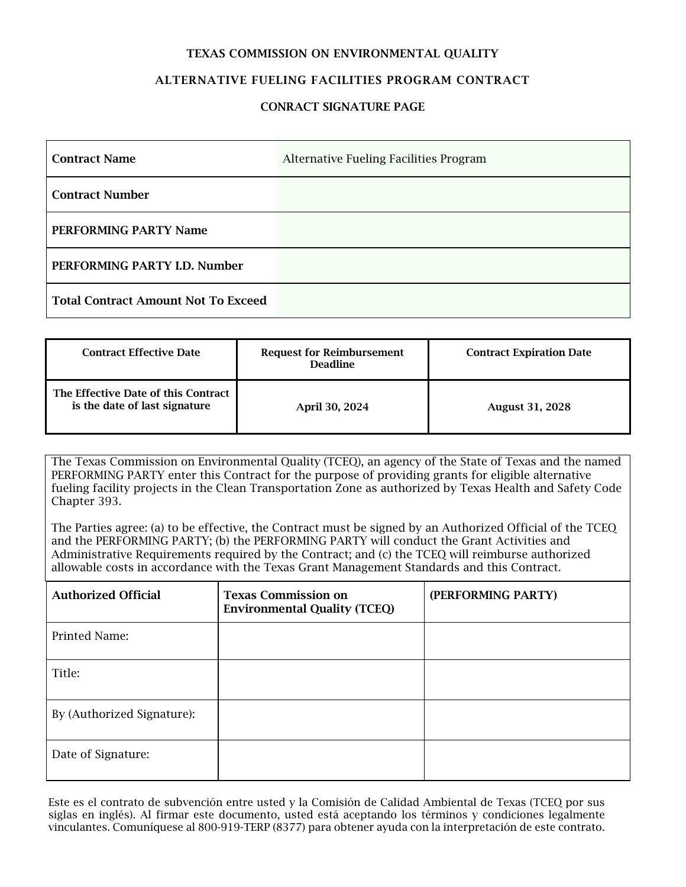#### TEXAS COMMISSION ON ENVIRONMENTAL QUALITY

### ALTERNATIVE FUELING FACILITIES PROGRAM CONTRACT

#### CONRACT SIGNATURE PAGE

| <b>Contract Name</b>                       | Alternative Fueling Facilities Program |
|--------------------------------------------|----------------------------------------|
| <b>Contract Number</b>                     |                                        |
| PERFORMING PARTY Name                      |                                        |
| PERFORMING PARTY I.D. Number               |                                        |
| <b>Total Contract Amount Not To Exceed</b> |                                        |

| <b>Contract Effective Date</b>                                       | <b>Request for Reimbursement</b><br><b>Deadline</b> | <b>Contract Expiration Date</b> |
|----------------------------------------------------------------------|-----------------------------------------------------|---------------------------------|
| The Effective Date of this Contract<br>is the date of last signature | April 30, 2024                                      | <b>August 31, 2028</b>          |

The Texas Commission on Environmental Quality (TCEQ), an agency of the State of Texas and the named PERFORMING PARTY enter this Contract for the purpose of providing grants for eligible alternative fueling facility projects in the Clean Transportation Zone as authorized by Texas Health and Safety Code Chapter 393.

The Parties agree: (a) to be effective, the Contract must be signed by an Authorized Official of the TCEQ and the PERFORMING PARTY; (b) the PERFORMING PARTY will conduct the Grant Activities and Administrative Requirements required by the Contract; and (c) the TCEQ will reimburse authorized allowable costs in accordance with the Texas Grant Management Standards and this Contract.

| <b>Authorized Official</b> | <b>Texas Commission on</b><br><b>Environmental Quality (TCEQ)</b> | (PERFORMING PARTY) |
|----------------------------|-------------------------------------------------------------------|--------------------|
| Printed Name:              |                                                                   |                    |
| Title:                     |                                                                   |                    |
| By (Authorized Signature): |                                                                   |                    |
| Date of Signature:         |                                                                   |                    |

Este es el contrato de subvención entre usted y la Comisión de Calidad Ambiental de Texas (TCEQ por sus siglas en inglés). Al firmar este documento, usted está aceptando los términos y condiciones legalmente vinculantes. Comuníquese al 800-919-TERP (8377) para obtener ayuda con la interpretación de este contrato.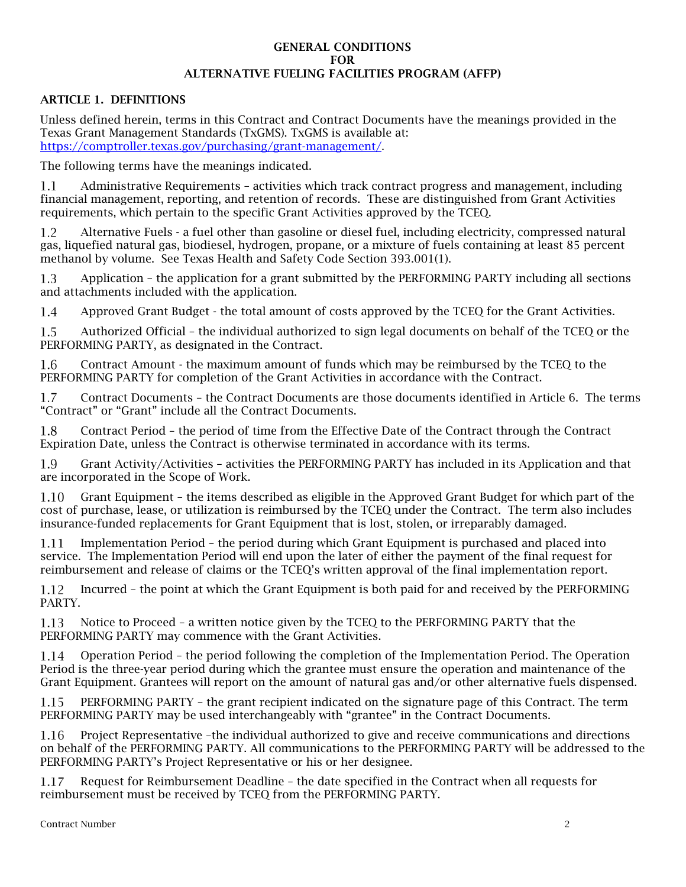#### GENERAL CONDITIONS FOR ALTERNATIVE FUELING FACILITIES PROGRAM (AFFP)

#### ARTICLE 1. DEFINITIONS

Unless defined herein, terms in this Contract and Contract Documents have the meanings provided in the Texas Grant Management Standards (TxGMS). TxGMS is available at: [https://comptroller.texas.gov/purchasing/grant-management/.](https://comptroller.texas.gov/purchasing/grant-management/)

The following terms have the meanings indicated.

Administrative Requirements – activities which track contract progress and management, including  $1.1$ financial management, reporting, and retention of records. These are distinguished from Grant Activities requirements, which pertain to the specific Grant Activities approved by the TCEQ.

Alternative Fuels - a fuel other than gasoline or diesel fuel, including electricity, compressed natural  $1.2$ gas, liquefied natural gas, biodiesel, hydrogen, propane, or a mixture of fuels containing at least 85 percent methanol by volume. See Texas Health and Safety Code Section 393.001(1).

1.3 Application – the application for a grant submitted by the PERFORMING PARTY including all sections and attachments included with the application.

1.4 Approved Grant Budget - the total amount of costs approved by the TCEQ for the Grant Activities.

1.5 Authorized Official – the individual authorized to sign legal documents on behalf of the TCEQ or the PERFORMING PARTY, as designated in the Contract.

1.6 Contract Amount - the maximum amount of funds which may be reimbursed by the TCEQ to the PERFORMING PARTY for completion of the Grant Activities in accordance with the Contract.

Contract Documents – the Contract Documents are those documents identified in Article 6. The terms  $1.7$ "Contract" or "Grant" include all the Contract Documents.

Contract Period – the period of time from the Effective Date of the Contract through the Contract 1.8 Expiration Date, unless the Contract is otherwise terminated in accordance with its terms.

Grant Activity/Activities – activities the PERFORMING PARTY has included in its Application and that 1.9 are incorporated in the Scope of Work.

Grant Equipment – the items described as eligible in the Approved Grant Budget for which part of the 1.10 cost of purchase, lease, or utilization is reimbursed by the TCEQ under the Contract. The term also includes insurance-funded replacements for Grant Equipment that is lost, stolen, or irreparably damaged.

Implementation Period – the period during which Grant Equipment is purchased and placed into 1.11 service. The Implementation Period will end upon the later of either the payment of the final request for reimbursement and release of claims or the TCEQ's written approval of the final implementation report.

Incurred – the point at which the Grant Equipment is both paid for and received by the PERFORMING 1.12 PARTY.

1.13 Notice to Proceed – a written notice given by the TCEQ to the PERFORMING PARTY that the PERFORMING PARTY may commence with the Grant Activities.

Operation Period – the period following the completion of the Implementation Period. The Operation 1.14 Period is the three-year period during which the grantee must ensure the operation and maintenance of the Grant Equipment. Grantees will report on the amount of natural gas and/or other alternative fuels dispensed.

1.15 PERFORMING PARTY – the grant recipient indicated on the signature page of this Contract. The term PERFORMING PARTY may be used interchangeably with "grantee" in the Contract Documents.

Project Representative –the individual authorized to give and receive communications and directions 1.16 on behalf of the PERFORMING PARTY. All communications to the PERFORMING PARTY will be addressed to the PERFORMING PARTY's Project Representative or his or her designee.

1.17 Request for Reimbursement Deadline – the date specified in the Contract when all requests for reimbursement must be received by TCEQ from the PERFORMING PARTY.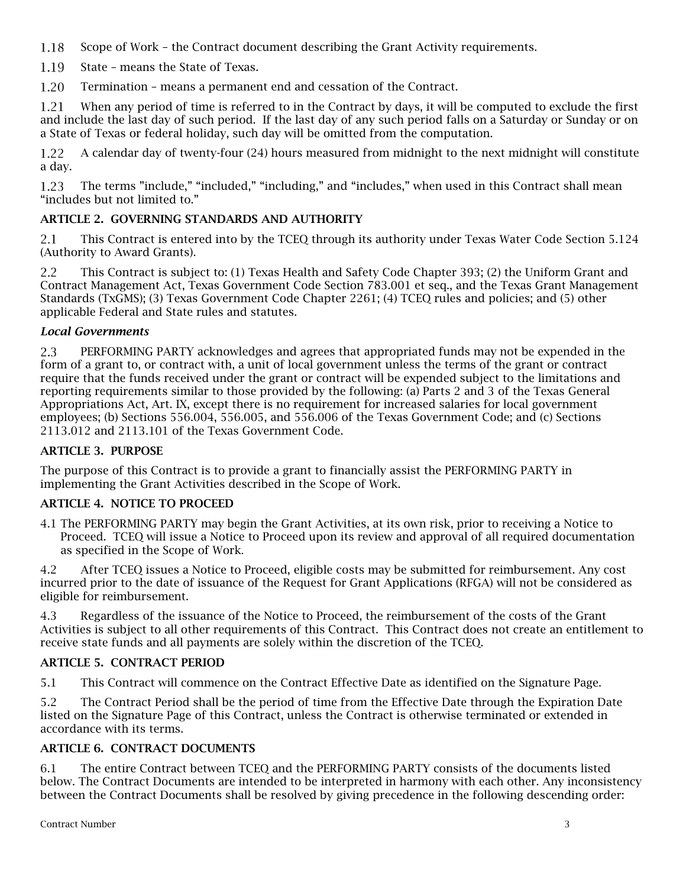- 1.18 Scope of Work – the Contract document describing the Grant Activity requirements.
- 1.19 State – means the State of Texas.
- Termination means a permanent end and cessation of the Contract. 1.20

1.21 When any period of time is referred to in the Contract by days, it will be computed to exclude the first and include the last day of such period. If the last day of any such period falls on a Saturday or Sunday or on a State of Texas or federal holiday, such day will be omitted from the computation.

1.22 A calendar day of twenty-four (24) hours measured from midnight to the next midnight will constitute a day.

The terms "include," "included," "including," and "includes," when used in this Contract shall mean 1.23 "includes but not limited to."

# ARTICLE 2. GOVERNING STANDARDS AND AUTHORITY

2.1 This Contract is entered into by the TCEQ through its authority under Texas Water Code Section 5.124 (Authority to Award Grants).

 $2.2$ This Contract is subject to: (1) Texas Health and Safety Code Chapter 393; (2) the Uniform Grant and Contract Management Act, Texas Government Code Section 783.001 et seq., and the Texas Grant Management Standards (TxGMS); (3) Texas Government Code Chapter 2261; (4) TCEQ rules and policies; and (5) other applicable Federal and State rules and statutes.

## *Local Governments*

2.3 PERFORMING PARTY acknowledges and agrees that appropriated funds may not be expended in the form of a grant to, or contract with, a unit of local government unless the terms of the grant or contract require that the funds received under the grant or contract will be expended subject to the limitations and reporting requirements similar to those provided by the following: (a) Parts 2 and 3 of the Texas General Appropriations Act, Art. IX, except there is no requirement for increased salaries for local government employees; (b) Sections 556.004, 556.005, and 556.006 of the Texas Government Code; and (c) Sections 2113.012 and 2113.101 of the Texas Government Code.

#### ARTICLE 3. PURPOSE

The purpose of this Contract is to provide a grant to financially assist the PERFORMING PARTY in implementing the Grant Activities described in the Scope of Work.

## ARTICLE 4. NOTICE TO PROCEED

4.1 The PERFORMING PARTY may begin the Grant Activities, at its own risk, prior to receiving a Notice to Proceed. TCEQ will issue a Notice to Proceed upon its review and approval of all required documentation as specified in the Scope of Work.

4.2 After TCEQ issues a Notice to Proceed, eligible costs may be submitted for reimbursement. Any cost incurred prior to the date of issuance of the Request for Grant Applications (RFGA) will not be considered as eligible for reimbursement.

4.3 Regardless of the issuance of the Notice to Proceed, the reimbursement of the costs of the Grant Activities is subject to all other requirements of this Contract. This Contract does not create an entitlement to receive state funds and all payments are solely within the discretion of the TCEQ.

## ARTICLE 5. CONTRACT PERIOD

5.1 This Contract will commence on the Contract Effective Date as identified on the Signature Page.

5.2 The Contract Period shall be the period of time from the Effective Date through the Expiration Date listed on the Signature Page of this Contract, unless the Contract is otherwise terminated or extended in accordance with its terms.

## ARTICLE 6. CONTRACT DOCUMENTS

6.1 The entire Contract between TCEQ and the PERFORMING PARTY consists of the documents listed below. The Contract Documents are intended to be interpreted in harmony with each other. Any inconsistency between the Contract Documents shall be resolved by giving precedence in the following descending order: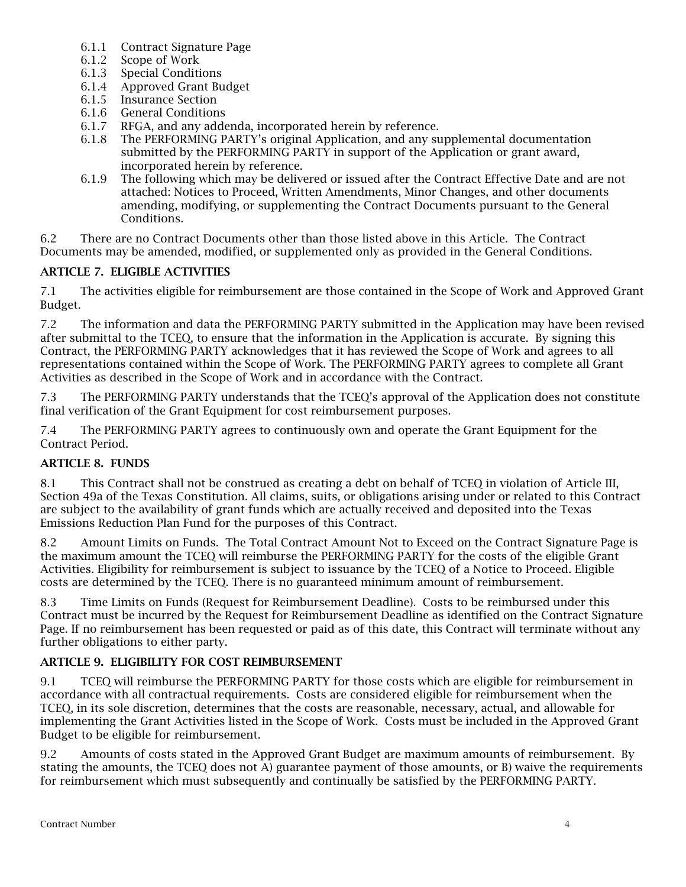- 6.1.1 Contract Signature Page
- 6.1.2 Scope of Work
- 6.1.3 Special Conditions
- 6.1.4 Approved Grant Budget
- 6.1.5 Insurance Section
- 6.1.6 General Conditions
- 6.1.7 RFGA, and any addenda, incorporated herein by reference.
- 6.1.8 The PERFORMING PARTY's original Application, and any supplemental documentation submitted by the PERFORMING PARTY in support of the Application or grant award, incorporated herein by reference.
- 6.1.9 The following which may be delivered or issued after the Contract Effective Date and are not attached: Notices to Proceed, Written Amendments, Minor Changes, and other documents amending, modifying, or supplementing the Contract Documents pursuant to the General Conditions.

6.2 There are no Contract Documents other than those listed above in this Article. The Contract Documents may be amended, modified, or supplemented only as provided in the General Conditions.

## ARTICLE 7. ELIGIBLE ACTIVITIES

7.1 The activities eligible for reimbursement are those contained in the Scope of Work and Approved Grant Budget.

7.2 The information and data the PERFORMING PARTY submitted in the Application may have been revised after submittal to the TCEQ, to ensure that the information in the Application is accurate. By signing this Contract, the PERFORMING PARTY acknowledges that it has reviewed the Scope of Work and agrees to all representations contained within the Scope of Work. The PERFORMING PARTY agrees to complete all Grant Activities as described in the Scope of Work and in accordance with the Contract.

7.3 The PERFORMING PARTY understands that the TCEQ's approval of the Application does not constitute final verification of the Grant Equipment for cost reimbursement purposes.

7.4 The PERFORMING PARTY agrees to continuously own and operate the Grant Equipment for the Contract Period.

## ARTICLE 8. FUNDS

8.1 This Contract shall not be construed as creating a debt on behalf of TCEQ in violation of Article III, Section 49a of the Texas Constitution. All claims, suits, or obligations arising under or related to this Contract are subject to the availability of grant funds which are actually received and deposited into the Texas Emissions Reduction Plan Fund for the purposes of this Contract.

8.2 Amount Limits on Funds. The Total Contract Amount Not to Exceed on the Contract Signature Page is the maximum amount the TCEQ will reimburse the PERFORMING PARTY for the costs of the eligible Grant Activities. Eligibility for reimbursement is subject to issuance by the TCEQ of a Notice to Proceed. Eligible costs are determined by the TCEQ. There is no guaranteed minimum amount of reimbursement.

8.3 Time Limits on Funds (Request for Reimbursement Deadline). Costs to be reimbursed under this Contract must be incurred by the Request for Reimbursement Deadline as identified on the Contract Signature Page. If no reimbursement has been requested or paid as of this date, this Contract will terminate without any further obligations to either party.

## ARTICLE 9. ELIGIBILITY FOR COST REIMBURSEMENT

9.1 TCEQ will reimburse the PERFORMING PARTY for those costs which are eligible for reimbursement in accordance with all contractual requirements. Costs are considered eligible for reimbursement when the TCEQ, in its sole discretion, determines that the costs are reasonable, necessary, actual, and allowable for implementing the Grant Activities listed in the Scope of Work. Costs must be included in the Approved Grant Budget to be eligible for reimbursement.

9.2 Amounts of costs stated in the Approved Grant Budget are maximum amounts of reimbursement. By stating the amounts, the TCEQ does not A) guarantee payment of those amounts, or B) waive the requirements for reimbursement which must subsequently and continually be satisfied by the PERFORMING PARTY.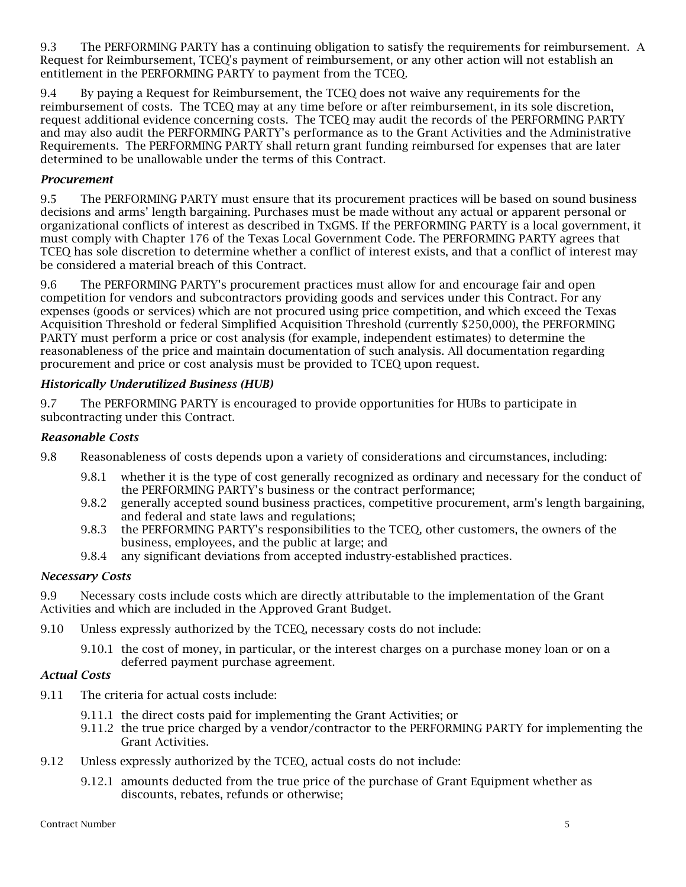9.3 The PERFORMING PARTY has a continuing obligation to satisfy the requirements for reimbursement. A Request for Reimbursement, TCEQ's payment of reimbursement, or any other action will not establish an entitlement in the PERFORMING PARTY to payment from the TCEQ.

9.4 By paying a Request for Reimbursement, the TCEQ does not waive any requirements for the reimbursement of costs. The TCEQ may at any time before or after reimbursement, in its sole discretion, request additional evidence concerning costs. The TCEQ may audit the records of the PERFORMING PARTY and may also audit the PERFORMING PARTY's performance as to the Grant Activities and the Administrative Requirements. The PERFORMING PARTY shall return grant funding reimbursed for expenses that are later determined to be unallowable under the terms of this Contract.

## *Procurement*

9.5 The PERFORMING PARTY must ensure that its procurement practices will be based on sound business decisions and arms' length bargaining. Purchases must be made without any actual or apparent personal or organizational conflicts of interest as described in TxGMS. If the PERFORMING PARTY is a local government, it must comply with Chapter 176 of the Texas Local Government Code. The PERFORMING PARTY agrees that TCEQ has sole discretion to determine whether a conflict of interest exists, and that a conflict of interest may be considered a material breach of this Contract.

9.6 The PERFORMING PARTY's procurement practices must allow for and encourage fair and open competition for vendors and subcontractors providing goods and services under this Contract. For any expenses (goods or services) which are not procured using price competition, and which exceed the Texas Acquisition Threshold or federal Simplified Acquisition Threshold (currently \$250,000), the PERFORMING PARTY must perform a price or cost analysis (for example, independent estimates) to determine the reasonableness of the price and maintain documentation of such analysis. All documentation regarding procurement and price or cost analysis must be provided to TCEQ upon request.

#### *Historically Underutilized Business (HUB)*

9.7 The PERFORMING PARTY is encouraged to provide opportunities for HUBs to participate in subcontracting under this Contract.

#### *Reasonable Costs*

- 9.8 Reasonableness of costs depends upon a variety of considerations and circumstances, including:
	- 9.8.1 whether it is the type of cost generally recognized as ordinary and necessary for the conduct of the PERFORMING PARTY's business or the contract performance;
	- 9.8.2 generally accepted sound business practices, competitive procurement, arm's length bargaining, and federal and state laws and regulations;
	- 9.8.3 the PERFORMING PARTY's responsibilities to the TCEQ, other customers, the owners of the business, employees, and the public at large; and
	- 9.8.4 any significant deviations from accepted industry-established practices.

#### *Necessary Costs*

9.9 Necessary costs include costs which are directly attributable to the implementation of the Grant Activities and which are included in the Approved Grant Budget.

- 9.10 Unless expressly authorized by the TCEQ, necessary costs do not include:
	- 9.10.1 the cost of money, in particular, or the interest charges on a purchase money loan or on a deferred payment purchase agreement.

# *Actual Costs*

- 9.11 The criteria for actual costs include:
	- 9.11.1 the direct costs paid for implementing the Grant Activities; or
	- 9.11.2 the true price charged by a vendor/contractor to the PERFORMING PARTY for implementing the Grant Activities.
- 9.12 Unless expressly authorized by the TCEQ, actual costs do not include:
	- 9.12.1 amounts deducted from the true price of the purchase of Grant Equipment whether as discounts, rebates, refunds or otherwise;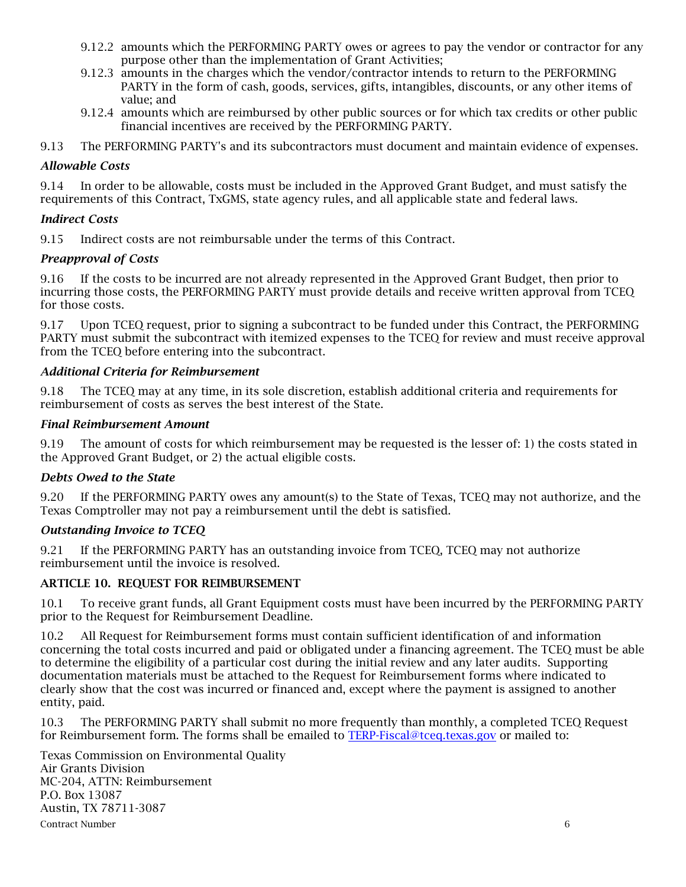- 9.12.2 amounts which the PERFORMING PARTY owes or agrees to pay the vendor or contractor for any purpose other than the implementation of Grant Activities;
- 9.12.3 amounts in the charges which the vendor/contractor intends to return to the PERFORMING PARTY in the form of cash, goods, services, gifts, intangibles, discounts, or any other items of value; and
- 9.12.4 amounts which are reimbursed by other public sources or for which tax credits or other public financial incentives are received by the PERFORMING PARTY.
- 9.13 The PERFORMING PARTY's and its subcontractors must document and maintain evidence of expenses.

### *Allowable Costs*

9.14 In order to be allowable, costs must be included in the Approved Grant Budget, and must satisfy the requirements of this Contract, TxGMS, state agency rules, and all applicable state and federal laws.

#### *Indirect Costs*

9.15 Indirect costs are not reimbursable under the terms of this Contract.

### *Preapproval of Costs*

9.16 If the costs to be incurred are not already represented in the Approved Grant Budget, then prior to incurring those costs, the PERFORMING PARTY must provide details and receive written approval from TCEQ for those costs.

9.17 Upon TCEQ request, prior to signing a subcontract to be funded under this Contract, the PERFORMING PARTY must submit the subcontract with itemized expenses to the TCEQ for review and must receive approval from the TCEQ before entering into the subcontract.

#### *Additional Criteria for Reimbursement*

9.18 The TCEQ may at any time, in its sole discretion, establish additional criteria and requirements for reimbursement of costs as serves the best interest of the State.

#### *Final Reimbursement Amount*

9.19 The amount of costs for which reimbursement may be requested is the lesser of: 1) the costs stated in the Approved Grant Budget, or 2) the actual eligible costs.

#### *Debts Owed to the State*

9.20 If the PERFORMING PARTY owes any amount(s) to the State of Texas, TCEQ may not authorize, and the Texas Comptroller may not pay a reimbursement until the debt is satisfied.

#### *Outstanding Invoice to TCEQ*

9.21 If the PERFORMING PARTY has an outstanding invoice from TCEQ, TCEQ may not authorize reimbursement until the invoice is resolved.

#### ARTICLE 10. REQUEST FOR REIMBURSEMENT

10.1 To receive grant funds, all Grant Equipment costs must have been incurred by the PERFORMING PARTY prior to the Request for Reimbursement Deadline.

10.2 All Request for Reimbursement forms must contain sufficient identification of and information concerning the total costs incurred and paid or obligated under a financing agreement. The TCEQ must be able to determine the eligibility of a particular cost during the initial review and any later audits. Supporting documentation materials must be attached to the Request for Reimbursement forms where indicated to clearly show that the cost was incurred or financed and, except where the payment is assigned to another entity, paid.

10.3 The PERFORMING PARTY shall submit no more frequently than monthly, a completed TCEQ Request for Reimbursement form. The forms shall be emailed to [TERP-Fiscal@tceq.texas.gov](mailto:TERP-Fiscal@tceq.texas.gov) or mailed to:

Contract Number 6 Texas Commission on Environmental Quality Air Grants Division MC-204, ATTN: Reimbursement P.O. Box 13087 Austin, TX 78711-3087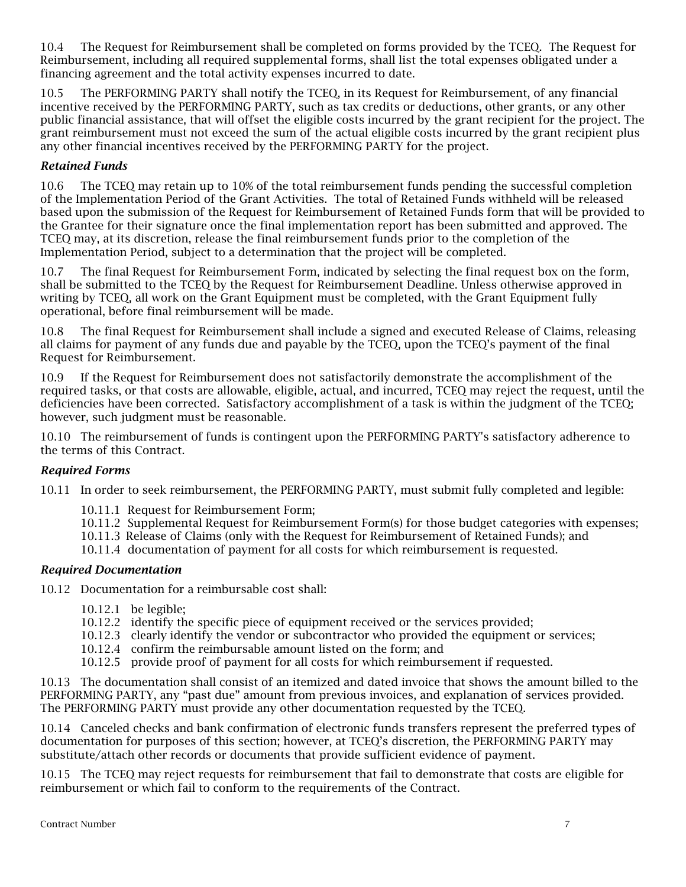10.4 The Request for Reimbursement shall be completed on forms provided by the TCEQ. The Request for Reimbursement, including all required supplemental forms, shall list the total expenses obligated under a financing agreement and the total activity expenses incurred to date.

10.5 The PERFORMING PARTY shall notify the TCEQ, in its Request for Reimbursement, of any financial incentive received by the PERFORMING PARTY, such as tax credits or deductions, other grants, or any other public financial assistance, that will offset the eligible costs incurred by the grant recipient for the project. The grant reimbursement must not exceed the sum of the actual eligible costs incurred by the grant recipient plus any other financial incentives received by the PERFORMING PARTY for the project.

## *Retained Funds*

10.6 The TCEQ may retain up to 10% of the total reimbursement funds pending the successful completion of the Implementation Period of the Grant Activities. The total of Retained Funds withheld will be released based upon the submission of the Request for Reimbursement of Retained Funds form that will be provided to the Grantee for their signature once the final implementation report has been submitted and approved. The TCEQ may, at its discretion, release the final reimbursement funds prior to the completion of the Implementation Period, subject to a determination that the project will be completed.

10.7 The final Request for Reimbursement Form, indicated by selecting the final request box on the form, shall be submitted to the TCEQ by the Request for Reimbursement Deadline. Unless otherwise approved in writing by TCEQ, all work on the Grant Equipment must be completed, with the Grant Equipment fully operational, before final reimbursement will be made.

10.8 The final Request for Reimbursement shall include a signed and executed Release of Claims, releasing all claims for payment of any funds due and payable by the TCEQ, upon the TCEQ's payment of the final Request for Reimbursement.

10.9 If the Request for Reimbursement does not satisfactorily demonstrate the accomplishment of the required tasks, or that costs are allowable, eligible, actual, and incurred, TCEQ may reject the request, until the deficiencies have been corrected. Satisfactory accomplishment of a task is within the judgment of the TCEQ; however, such judgment must be reasonable.

10.10 The reimbursement of funds is contingent upon the PERFORMING PARTY's satisfactory adherence to the terms of this Contract.

## *Required Forms*

10.11 In order to seek reimbursement, the PERFORMING PARTY, must submit fully completed and legible:

- 10.11.1 Request for Reimbursement Form;
- 10.11.2 Supplemental Request for Reimbursement Form(s) for those budget categories with expenses;
- 10.11.3 Release of Claims (only with the Request for Reimbursement of Retained Funds); and
- 10.11.4 documentation of payment for all costs for which reimbursement is requested.

## *Required Documentation*

10.12 Documentation for a reimbursable cost shall:

- 10.12.1 be legible;
- 10.12.2 identify the specific piece of equipment received or the services provided;
- 10.12.3 clearly identify the vendor or subcontractor who provided the equipment or services;
- 10.12.4 confirm the reimbursable amount listed on the form; and
- 10.12.5 provide proof of payment for all costs for which reimbursement if requested.

10.13 The documentation shall consist of an itemized and dated invoice that shows the amount billed to the PERFORMING PARTY, any "past due" amount from previous invoices, and explanation of services provided. The PERFORMING PARTY must provide any other documentation requested by the TCEQ.

10.14 Canceled checks and bank confirmation of electronic funds transfers represent the preferred types of documentation for purposes of this section; however, at TCEQ's discretion, the PERFORMING PARTY may substitute/attach other records or documents that provide sufficient evidence of payment.

10.15 The TCEQ may reject requests for reimbursement that fail to demonstrate that costs are eligible for reimbursement or which fail to conform to the requirements of the Contract.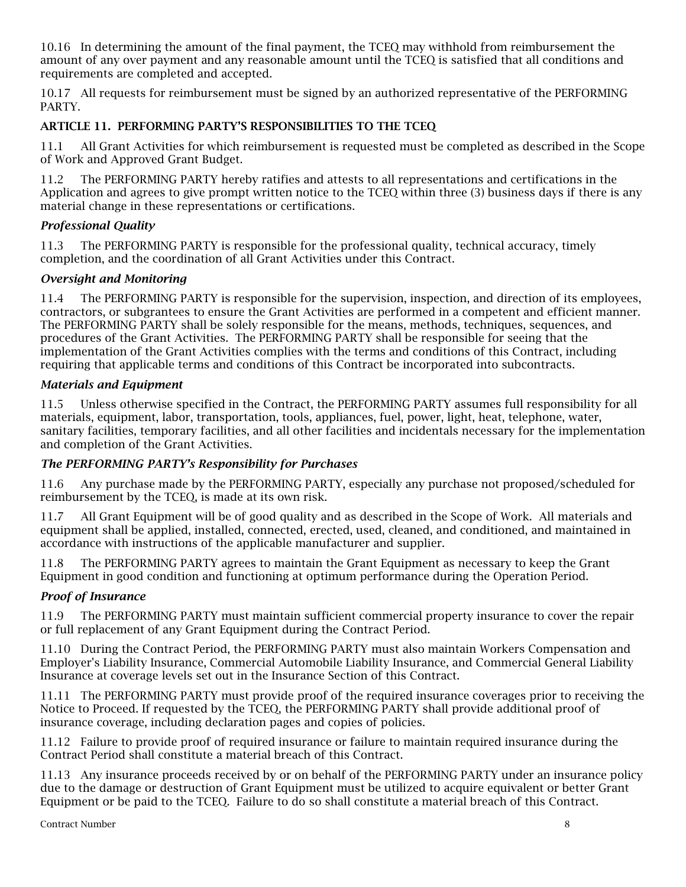10.16 In determining the amount of the final payment, the TCEQ may withhold from reimbursement the amount of any over payment and any reasonable amount until the TCEQ is satisfied that all conditions and requirements are completed and accepted.

10.17 All requests for reimbursement must be signed by an authorized representative of the PERFORMING PARTY.

# ARTICLE 11. PERFORMING PARTY'S RESPONSIBILITIES TO THE TCEQ

11.1 All Grant Activities for which reimbursement is requested must be completed as described in the Scope of Work and Approved Grant Budget.

11.2 The PERFORMING PARTY hereby ratifies and attests to all representations and certifications in the Application and agrees to give prompt written notice to the TCEQ within three (3) business days if there is any material change in these representations or certifications.

## *Professional Quality*

11.3 The PERFORMING PARTY is responsible for the professional quality, technical accuracy, timely completion, and the coordination of all Grant Activities under this Contract.

### *Oversight and Monitoring*

11.4 The PERFORMING PARTY is responsible for the supervision, inspection, and direction of its employees, contractors, or subgrantees to ensure the Grant Activities are performed in a competent and efficient manner. The PERFORMING PARTY shall be solely responsible for the means, methods, techniques, sequences, and procedures of the Grant Activities. The PERFORMING PARTY shall be responsible for seeing that the implementation of the Grant Activities complies with the terms and conditions of this Contract, including requiring that applicable terms and conditions of this Contract be incorporated into subcontracts.

## *Materials and Equipment*

11.5 Unless otherwise specified in the Contract, the PERFORMING PARTY assumes full responsibility for all materials, equipment, labor, transportation, tools, appliances, fuel, power, light, heat, telephone, water, sanitary facilities, temporary facilities, and all other facilities and incidentals necessary for the implementation and completion of the Grant Activities.

#### *The PERFORMING PARTY's Responsibility for Purchases*

11.6 Any purchase made by the PERFORMING PARTY, especially any purchase not proposed/scheduled for reimbursement by the TCEQ, is made at its own risk.

11.7 All Grant Equipment will be of good quality and as described in the Scope of Work. All materials and equipment shall be applied, installed, connected, erected, used, cleaned, and conditioned, and maintained in accordance with instructions of the applicable manufacturer and supplier.

11.8 The PERFORMING PARTY agrees to maintain the Grant Equipment as necessary to keep the Grant Equipment in good condition and functioning at optimum performance during the Operation Period.

## *Proof of Insurance*

11.9 The PERFORMING PARTY must maintain sufficient commercial property insurance to cover the repair or full replacement of any Grant Equipment during the Contract Period.

11.10 During the Contract Period, the PERFORMING PARTY must also maintain Workers Compensation and Employer's Liability Insurance, Commercial Automobile Liability Insurance, and Commercial General Liability Insurance at coverage levels set out in the Insurance Section of this Contract.

11.11 The PERFORMING PARTY must provide proof of the required insurance coverages prior to receiving the Notice to Proceed. If requested by the TCEQ, the PERFORMING PARTY shall provide additional proof of insurance coverage, including declaration pages and copies of policies.

11.12 Failure to provide proof of required insurance or failure to maintain required insurance during the Contract Period shall constitute a material breach of this Contract.

11.13 Any insurance proceeds received by or on behalf of the PERFORMING PARTY under an insurance policy due to the damage or destruction of Grant Equipment must be utilized to acquire equivalent or better Grant Equipment or be paid to the TCEQ. Failure to do so shall constitute a material breach of this Contract.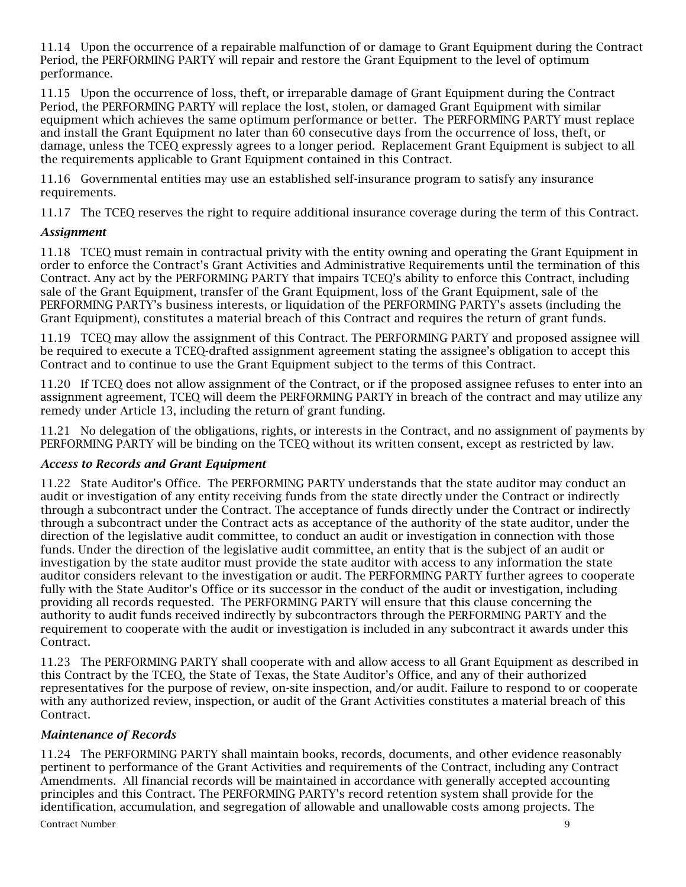11.14 Upon the occurrence of a repairable malfunction of or damage to Grant Equipment during the Contract Period, the PERFORMING PARTY will repair and restore the Grant Equipment to the level of optimum performance.

11.15 Upon the occurrence of loss, theft, or irreparable damage of Grant Equipment during the Contract Period, the PERFORMING PARTY will replace the lost, stolen, or damaged Grant Equipment with similar equipment which achieves the same optimum performance or better. The PERFORMING PARTY must replace and install the Grant Equipment no later than 60 consecutive days from the occurrence of loss, theft, or damage, unless the TCEQ expressly agrees to a longer period. Replacement Grant Equipment is subject to all the requirements applicable to Grant Equipment contained in this Contract.

11.16 Governmental entities may use an established self-insurance program to satisfy any insurance requirements.

11.17 The TCEQ reserves the right to require additional insurance coverage during the term of this Contract.

## *Assignment*

11.18 TCEQ must remain in contractual privity with the entity owning and operating the Grant Equipment in order to enforce the Contract's Grant Activities and Administrative Requirements until the termination of this Contract. Any act by the PERFORMING PARTY that impairs TCEQ's ability to enforce this Contract, including sale of the Grant Equipment, transfer of the Grant Equipment, loss of the Grant Equipment, sale of the PERFORMING PARTY's business interests, or liquidation of the PERFORMING PARTY's assets (including the Grant Equipment), constitutes a material breach of this Contract and requires the return of grant funds.

11.19 TCEQ may allow the assignment of this Contract. The PERFORMING PARTY and proposed assignee will be required to execute a TCEQ-drafted assignment agreement stating the assignee's obligation to accept this Contract and to continue to use the Grant Equipment subject to the terms of this Contract.

11.20 If TCEQ does not allow assignment of the Contract, or if the proposed assignee refuses to enter into an assignment agreement, TCEQ will deem the PERFORMING PARTY in breach of the contract and may utilize any remedy under Article 13, including the return of grant funding.

11.21 No delegation of the obligations, rights, or interests in the Contract, and no assignment of payments by PERFORMING PARTY will be binding on the TCEQ without its written consent, except as restricted by law.

#### *Access to Records and Grant Equipment*

11.22 State Auditor's Office. The PERFORMING PARTY understands that the state auditor may conduct an audit or investigation of any entity receiving funds from the state directly under the Contract or indirectly through a subcontract under the Contract. The acceptance of funds directly under the Contract or indirectly through a subcontract under the Contract acts as acceptance of the authority of the state auditor, under the direction of the legislative audit committee, to conduct an audit or investigation in connection with those funds. Under the direction of the legislative audit committee, an entity that is the subject of an audit or investigation by the state auditor must provide the state auditor with access to any information the state auditor considers relevant to the investigation or audit. The PERFORMING PARTY further agrees to cooperate fully with the State Auditor's Office or its successor in the conduct of the audit or investigation, including providing all records requested. The PERFORMING PARTY will ensure that this clause concerning the authority to audit funds received indirectly by subcontractors through the PERFORMING PARTY and the requirement to cooperate with the audit or investigation is included in any subcontract it awards under this Contract.

11.23 The PERFORMING PARTY shall cooperate with and allow access to all Grant Equipment as described in this Contract by the TCEQ, the State of Texas, the State Auditor's Office, and any of their authorized representatives for the purpose of review, on-site inspection, and/or audit. Failure to respond to or cooperate with any authorized review, inspection, or audit of the Grant Activities constitutes a material breach of this Contract.

## *Maintenance of Records*

Contract Number 9 11.24 The PERFORMING PARTY shall maintain books, records, documents, and other evidence reasonably pertinent to performance of the Grant Activities and requirements of the Contract, including any Contract Amendments. All financial records will be maintained in accordance with generally accepted accounting principles and this Contract. The PERFORMING PARTY's record retention system shall provide for the identification, accumulation, and segregation of allowable and unallowable costs among projects. The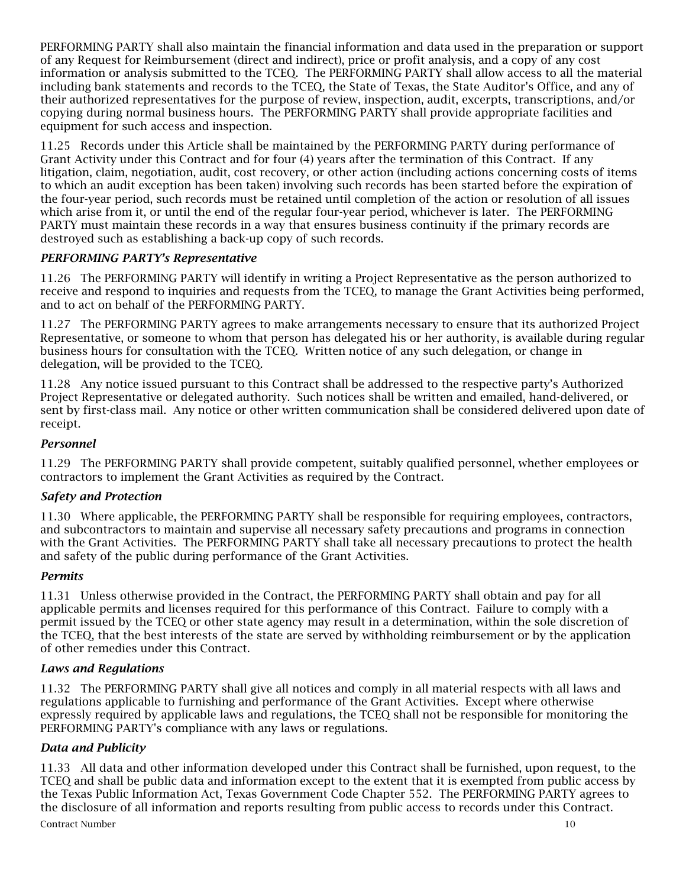PERFORMING PARTY shall also maintain the financial information and data used in the preparation or support of any Request for Reimbursement (direct and indirect), price or profit analysis, and a copy of any cost information or analysis submitted to the TCEQ. The PERFORMING PARTY shall allow access to all the material including bank statements and records to the TCEQ, the State of Texas, the State Auditor's Office, and any of their authorized representatives for the purpose of review, inspection, audit, excerpts, transcriptions, and/or copying during normal business hours. The PERFORMING PARTY shall provide appropriate facilities and equipment for such access and inspection.

11.25 Records under this Article shall be maintained by the PERFORMING PARTY during performance of Grant Activity under this Contract and for four (4) years after the termination of this Contract. If any litigation, claim, negotiation, audit, cost recovery, or other action (including actions concerning costs of items to which an audit exception has been taken) involving such records has been started before the expiration of the four-year period, such records must be retained until completion of the action or resolution of all issues which arise from it, or until the end of the regular four-year period, whichever is later. The PERFORMING PARTY must maintain these records in a way that ensures business continuity if the primary records are destroyed such as establishing a back-up copy of such records.

# *PERFORMING PARTY's Representative*

11.26 The PERFORMING PARTY will identify in writing a Project Representative as the person authorized to receive and respond to inquiries and requests from the TCEQ, to manage the Grant Activities being performed, and to act on behalf of the PERFORMING PARTY.

11.27 The PERFORMING PARTY agrees to make arrangements necessary to ensure that its authorized Project Representative, or someone to whom that person has delegated his or her authority, is available during regular business hours for consultation with the TCEQ. Written notice of any such delegation, or change in delegation, will be provided to the TCEQ.

11.28 Any notice issued pursuant to this Contract shall be addressed to the respective party's Authorized Project Representative or delegated authority. Such notices shall be written and emailed, hand-delivered, or sent by first-class mail. Any notice or other written communication shall be considered delivered upon date of receipt.

# *Personnel*

11.29 The PERFORMING PARTY shall provide competent, suitably qualified personnel, whether employees or contractors to implement the Grant Activities as required by the Contract.

# *Safety and Protection*

11.30 Where applicable, the PERFORMING PARTY shall be responsible for requiring employees, contractors, and subcontractors to maintain and supervise all necessary safety precautions and programs in connection with the Grant Activities. The PERFORMING PARTY shall take all necessary precautions to protect the health and safety of the public during performance of the Grant Activities.

## *Permits*

11.31 Unless otherwise provided in the Contract, the PERFORMING PARTY shall obtain and pay for all applicable permits and licenses required for this performance of this Contract. Failure to comply with a permit issued by the TCEQ or other state agency may result in a determination, within the sole discretion of the TCEQ, that the best interests of the state are served by withholding reimbursement or by the application of other remedies under this Contract.

# *Laws and Regulations*

11.32 The PERFORMING PARTY shall give all notices and comply in all material respects with all laws and regulations applicable to furnishing and performance of the Grant Activities. Except where otherwise expressly required by applicable laws and regulations, the TCEQ shall not be responsible for monitoring the PERFORMING PARTY's compliance with any laws or regulations.

## *Data and Publicity*

Contract Number 10 11.33 All data and other information developed under this Contract shall be furnished, upon request, to the TCEQ and shall be public data and information except to the extent that it is exempted from public access by the Texas Public Information Act, Texas Government Code Chapter 552. The PERFORMING PARTY agrees to the disclosure of all information and reports resulting from public access to records under this Contract.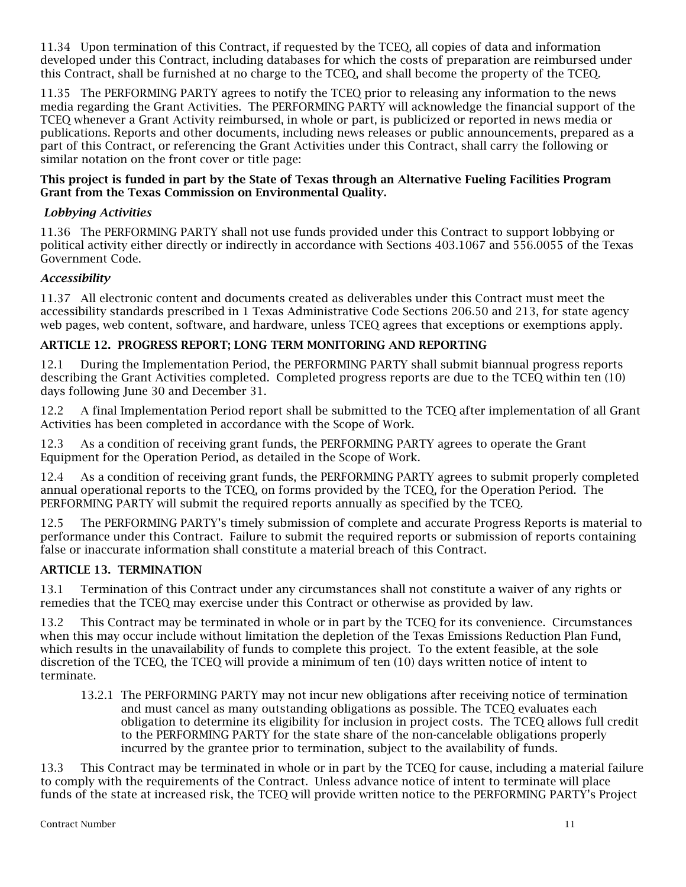11.34 Upon termination of this Contract, if requested by the TCEQ, all copies of data and information developed under this Contract, including databases for which the costs of preparation are reimbursed under this Contract, shall be furnished at no charge to the TCEQ, and shall become the property of the TCEQ.

11.35 The PERFORMING PARTY agrees to notify the TCEQ prior to releasing any information to the news media regarding the Grant Activities. The PERFORMING PARTY will acknowledge the financial support of the TCEQ whenever a Grant Activity reimbursed, in whole or part, is publicized or reported in news media or publications. Reports and other documents, including news releases or public announcements, prepared as a part of this Contract, or referencing the Grant Activities under this Contract, shall carry the following or similar notation on the front cover or title page:

### This project is funded in part by the State of Texas through an Alternative Fueling Facilities Program Grant from the Texas Commission on Environmental Quality.

## *Lobbying Activities*

11.36 The PERFORMING PARTY shall not use funds provided under this Contract to support lobbying or political activity either directly or indirectly in accordance with Sections 403.1067 and 556.0055 of the Texas Government Code.

### *Accessibility*

11.37 All electronic content and documents created as deliverables under this Contract must meet the accessibility standards prescribed in 1 Texas Administrative Code Sections 206.50 and 213, for state agency web pages, web content, software, and hardware, unless TCEQ agrees that exceptions or exemptions apply.

## ARTICLE 12. PROGRESS REPORT; LONG TERM MONITORING AND REPORTING

12.1 During the Implementation Period, the PERFORMING PARTY shall submit biannual progress reports describing the Grant Activities completed. Completed progress reports are due to the TCEQ within ten (10) days following June 30 and December 31.

12.2 A final Implementation Period report shall be submitted to the TCEQ after implementation of all Grant Activities has been completed in accordance with the Scope of Work.

12.3 As a condition of receiving grant funds, the PERFORMING PARTY agrees to operate the Grant Equipment for the Operation Period, as detailed in the Scope of Work.

12.4 As a condition of receiving grant funds, the PERFORMING PARTY agrees to submit properly completed annual operational reports to the TCEQ, on forms provided by the TCEQ, for the Operation Period. The PERFORMING PARTY will submit the required reports annually as specified by the TCEQ.

12.5 The PERFORMING PARTY's timely submission of complete and accurate Progress Reports is material to performance under this Contract. Failure to submit the required reports or submission of reports containing false or inaccurate information shall constitute a material breach of this Contract.

## ARTICLE 13. TERMINATION

13.1 Termination of this Contract under any circumstances shall not constitute a waiver of any rights or remedies that the TCEQ may exercise under this Contract or otherwise as provided by law.

13.2 This Contract may be terminated in whole or in part by the TCEQ for its convenience. Circumstances when this may occur include without limitation the depletion of the Texas Emissions Reduction Plan Fund, which results in the unavailability of funds to complete this project. To the extent feasible, at the sole discretion of the TCEQ, the TCEQ will provide a minimum of ten (10) days written notice of intent to terminate.

13.2.1 The PERFORMING PARTY may not incur new obligations after receiving notice of termination and must cancel as many outstanding obligations as possible. The TCEQ evaluates each obligation to determine its eligibility for inclusion in project costs. The TCEQ allows full credit to the PERFORMING PARTY for the state share of the non-cancelable obligations properly incurred by the grantee prior to termination, subject to the availability of funds.

13.3 This Contract may be terminated in whole or in part by the TCEQ for cause, including a material failure to comply with the requirements of the Contract. Unless advance notice of intent to terminate will place funds of the state at increased risk, the TCEQ will provide written notice to the PERFORMING PARTY's Project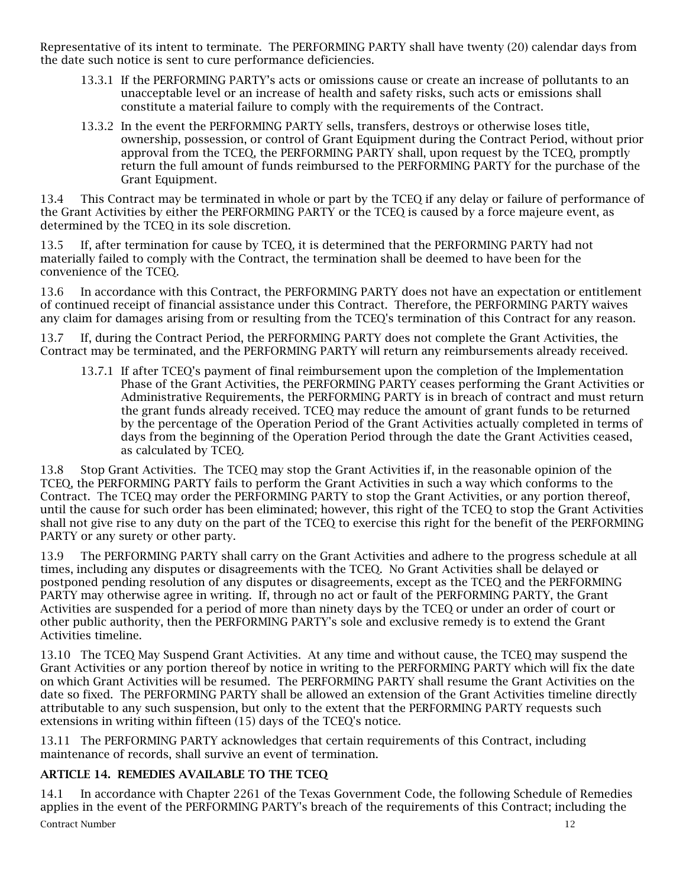Representative of its intent to terminate. The PERFORMING PARTY shall have twenty (20) calendar days from the date such notice is sent to cure performance deficiencies.

- 13.3.1 If the PERFORMING PARTY's acts or omissions cause or create an increase of pollutants to an unacceptable level or an increase of health and safety risks, such acts or emissions shall constitute a material failure to comply with the requirements of the Contract.
- 13.3.2 In the event the PERFORMING PARTY sells, transfers, destroys or otherwise loses title, ownership, possession, or control of Grant Equipment during the Contract Period, without prior approval from the TCEQ, the PERFORMING PARTY shall, upon request by the TCEQ, promptly return the full amount of funds reimbursed to the PERFORMING PARTY for the purchase of the Grant Equipment.

13.4 This Contract may be terminated in whole or part by the TCEQ if any delay or failure of performance of the Grant Activities by either the PERFORMING PARTY or the TCEQ is caused by a force majeure event, as determined by the TCEQ in its sole discretion.

13.5 If, after termination for cause by TCEQ, it is determined that the PERFORMING PARTY had not materially failed to comply with the Contract, the termination shall be deemed to have been for the convenience of the TCEQ.

13.6 In accordance with this Contract, the PERFORMING PARTY does not have an expectation or entitlement of continued receipt of financial assistance under this Contract. Therefore, the PERFORMING PARTY waives any claim for damages arising from or resulting from the TCEQ's termination of this Contract for any reason.

13.7 If, during the Contract Period, the PERFORMING PARTY does not complete the Grant Activities, the Contract may be terminated, and the PERFORMING PARTY will return any reimbursements already received.

13.7.1 If after TCEQ's payment of final reimbursement upon the completion of the Implementation Phase of the Grant Activities, the PERFORMING PARTY ceases performing the Grant Activities or Administrative Requirements, the PERFORMING PARTY is in breach of contract and must return the grant funds already received. TCEQ may reduce the amount of grant funds to be returned by the percentage of the Operation Period of the Grant Activities actually completed in terms of days from the beginning of the Operation Period through the date the Grant Activities ceased, as calculated by TCEQ.

13.8 Stop Grant Activities. The TCEQ may stop the Grant Activities if, in the reasonable opinion of the TCEQ, the PERFORMING PARTY fails to perform the Grant Activities in such a way which conforms to the Contract. The TCEQ may order the PERFORMING PARTY to stop the Grant Activities, or any portion thereof, until the cause for such order has been eliminated; however, this right of the TCEQ to stop the Grant Activities shall not give rise to any duty on the part of the TCEQ to exercise this right for the benefit of the PERFORMING PARTY or any surety or other party.

13.9 The PERFORMING PARTY shall carry on the Grant Activities and adhere to the progress schedule at all times, including any disputes or disagreements with the TCEQ. No Grant Activities shall be delayed or postponed pending resolution of any disputes or disagreements, except as the TCEQ and the PERFORMING PARTY may otherwise agree in writing. If, through no act or fault of the PERFORMING PARTY, the Grant Activities are suspended for a period of more than ninety days by the TCEQ or under an order of court or other public authority, then the PERFORMING PARTY's sole and exclusive remedy is to extend the Grant Activities timeline.

13.10 The TCEQ May Suspend Grant Activities. At any time and without cause, the TCEQ may suspend the Grant Activities or any portion thereof by notice in writing to the PERFORMING PARTY which will fix the date on which Grant Activities will be resumed. The PERFORMING PARTY shall resume the Grant Activities on the date so fixed. The PERFORMING PARTY shall be allowed an extension of the Grant Activities timeline directly attributable to any such suspension, but only to the extent that the PERFORMING PARTY requests such extensions in writing within fifteen (15) days of the TCEQ's notice.

13.11 The PERFORMING PARTY acknowledges that certain requirements of this Contract, including maintenance of records, shall survive an event of termination.

# ARTICLE 14. REMEDIES AVAILABLE TO THE TCEQ

**Contract Number 12** 14.1 In accordance with Chapter 2261 of the Texas Government Code, the following Schedule of Remedies applies in the event of the PERFORMING PARTY's breach of the requirements of this Contract; including the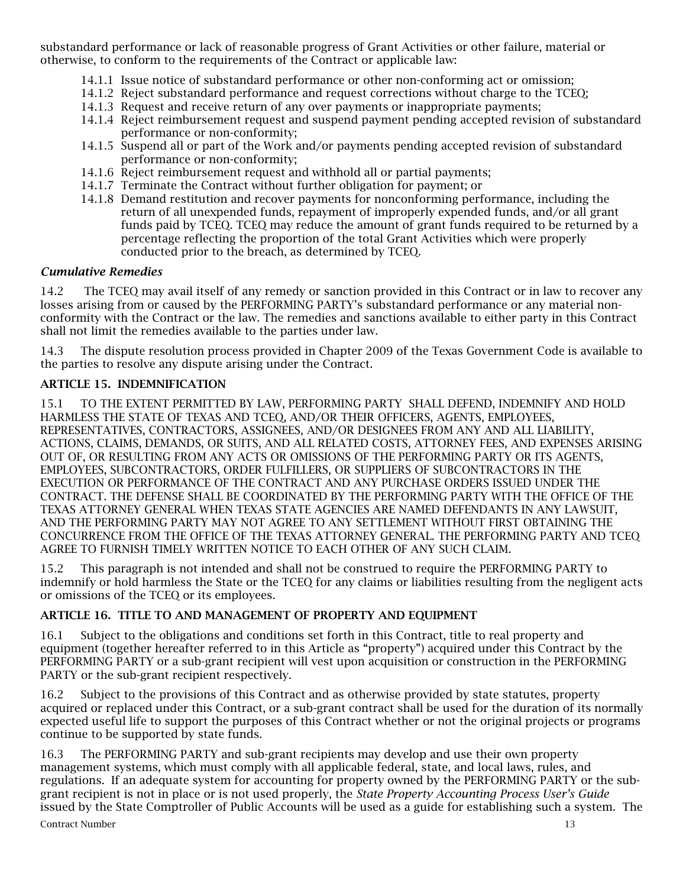substandard performance or lack of reasonable progress of Grant Activities or other failure, material or otherwise, to conform to the requirements of the Contract or applicable law:

- 14.1.1 Issue notice of substandard performance or other non-conforming act or omission;
- 14.1.2 Reject substandard performance and request corrections without charge to the TCEQ;
- 14.1.3 Request and receive return of any over payments or inappropriate payments;
- 14.1.4 Reject reimbursement request and suspend payment pending accepted revision of substandard performance or non-conformity;
- 14.1.5 Suspend all or part of the Work and/or payments pending accepted revision of substandard performance or non-conformity;
- 14.1.6 Reject reimbursement request and withhold all or partial payments;
- 14.1.7 Terminate the Contract without further obligation for payment; or
- 14.1.8 Demand restitution and recover payments for nonconforming performance, including the return of all unexpended funds, repayment of improperly expended funds, and/or all grant funds paid by TCEQ. TCEQ may reduce the amount of grant funds required to be returned by a percentage reflecting the proportion of the total Grant Activities which were properly conducted prior to the breach, as determined by TCEQ.

## *Cumulative Remedies*

14.2 The TCEQ may avail itself of any remedy or sanction provided in this Contract or in law to recover any losses arising from or caused by the PERFORMING PARTY's substandard performance or any material nonconformity with the Contract or the law. The remedies and sanctions available to either party in this Contract shall not limit the remedies available to the parties under law.

14.3 The dispute resolution process provided in Chapter 2009 of the Texas Government Code is available to the parties to resolve any dispute arising under the Contract.

## ARTICLE 15. INDEMNIFICATION

15.1 TO THE EXTENT PERMITTED BY LAW, PERFORMING PARTY SHALL DEFEND, INDEMNIFY AND HOLD HARMLESS THE STATE OF TEXAS AND TCEQ, AND/OR THEIR OFFICERS, AGENTS, EMPLOYEES, REPRESENTATIVES, CONTRACTORS, ASSIGNEES, AND/OR DESIGNEES FROM ANY AND ALL LIABILITY, ACTIONS, CLAIMS, DEMANDS, OR SUITS, AND ALL RELATED COSTS, ATTORNEY FEES, AND EXPENSES ARISING OUT OF, OR RESULTING FROM ANY ACTS OR OMISSIONS OF THE PERFORMING PARTY OR ITS AGENTS, EMPLOYEES, SUBCONTRACTORS, ORDER FULFILLERS, OR SUPPLIERS OF SUBCONTRACTORS IN THE EXECUTION OR PERFORMANCE OF THE CONTRACT AND ANY PURCHASE ORDERS ISSUED UNDER THE CONTRACT. THE DEFENSE SHALL BE COORDINATED BY THE PERFORMING PARTY WITH THE OFFICE OF THE TEXAS ATTORNEY GENERAL WHEN TEXAS STATE AGENCIES ARE NAMED DEFENDANTS IN ANY LAWSUIT, AND THE PERFORMING PARTY MAY NOT AGREE TO ANY SETTLEMENT WITHOUT FIRST OBTAINING THE CONCURRENCE FROM THE OFFICE OF THE TEXAS ATTORNEY GENERAL. THE PERFORMING PARTY AND TCEQ AGREE TO FURNISH TIMELY WRITTEN NOTICE TO EACH OTHER OF ANY SUCH CLAIM.

15.2 This paragraph is not intended and shall not be construed to require the PERFORMING PARTY to indemnify or hold harmless the State or the TCEQ for any claims or liabilities resulting from the negligent acts or omissions of the TCEQ or its employees.

# ARTICLE 16. TITLE TO AND MANAGEMENT OF PROPERTY AND EQUIPMENT

16.1 Subject to the obligations and conditions set forth in this Contract, title to real property and equipment (together hereafter referred to in this Article as "property") acquired under this Contract by the PERFORMING PARTY or a sub-grant recipient will vest upon acquisition or construction in the PERFORMING PARTY or the sub-grant recipient respectively.

16.2 Subject to the provisions of this Contract and as otherwise provided by state statutes, property acquired or replaced under this Contract, or a sub-grant contract shall be used for the duration of its normally expected useful life to support the purposes of this Contract whether or not the original projects or programs continue to be supported by state funds.

**Contract Number 13** 16.3 The PERFORMING PARTY and sub-grant recipients may develop and use their own property management systems, which must comply with all applicable federal, state, and local laws, rules, and regulations. If an adequate system for accounting for property owned by the PERFORMING PARTY or the subgrant recipient is not in place or is not used properly, the *State Property Accounting Process User's Guide* issued by the State Comptroller of Public Accounts will be used as a guide for establishing such a system. The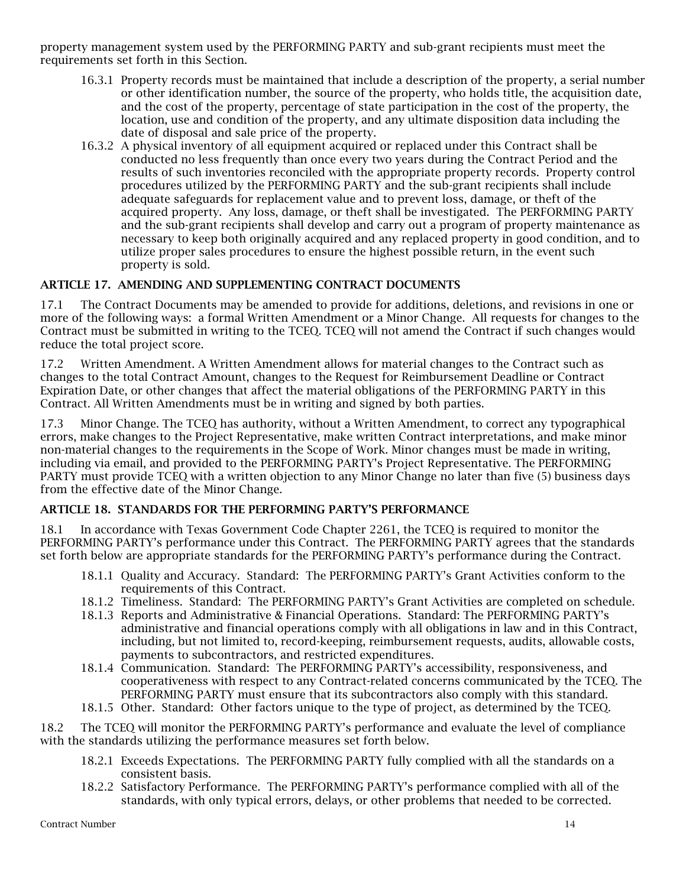property management system used by the PERFORMING PARTY and sub-grant recipients must meet the requirements set forth in this Section.

- 16.3.1 Property records must be maintained that include a description of the property, a serial number or other identification number, the source of the property, who holds title, the acquisition date, and the cost of the property, percentage of state participation in the cost of the property, the location, use and condition of the property, and any ultimate disposition data including the date of disposal and sale price of the property.
- 16.3.2 A physical inventory of all equipment acquired or replaced under this Contract shall be conducted no less frequently than once every two years during the Contract Period and the results of such inventories reconciled with the appropriate property records. Property control procedures utilized by the PERFORMING PARTY and the sub-grant recipients shall include adequate safeguards for replacement value and to prevent loss, damage, or theft of the acquired property. Any loss, damage, or theft shall be investigated. The PERFORMING PARTY and the sub-grant recipients shall develop and carry out a program of property maintenance as necessary to keep both originally acquired and any replaced property in good condition, and to utilize proper sales procedures to ensure the highest possible return, in the event such property is sold.

## ARTICLE 17. AMENDING AND SUPPLEMENTING CONTRACT DOCUMENTS

17.1 The Contract Documents may be amended to provide for additions, deletions, and revisions in one or more of the following ways: a formal Written Amendment or a Minor Change. All requests for changes to the Contract must be submitted in writing to the TCEQ. TCEQ will not amend the Contract if such changes would reduce the total project score.

17.2 Written Amendment. A Written Amendment allows for material changes to the Contract such as changes to the total Contract Amount, changes to the Request for Reimbursement Deadline or Contract Expiration Date, or other changes that affect the material obligations of the PERFORMING PARTY in this Contract. All Written Amendments must be in writing and signed by both parties.

17.3 Minor Change. The TCEQ has authority, without a Written Amendment, to correct any typographical errors, make changes to the Project Representative, make written Contract interpretations, and make minor non-material changes to the requirements in the Scope of Work. Minor changes must be made in writing, including via email, and provided to the PERFORMING PARTY's Project Representative. The PERFORMING PARTY must provide TCEQ with a written objection to any Minor Change no later than five (5) business days from the effective date of the Minor Change.

#### ARTICLE 18. STANDARDS FOR THE PERFORMING PARTY'S PERFORMANCE

18.1 In accordance with Texas Government Code Chapter 2261, the TCEQ is required to monitor the PERFORMING PARTY's performance under this Contract. The PERFORMING PARTY agrees that the standards set forth below are appropriate standards for the PERFORMING PARTY's performance during the Contract.

- 18.1.1 Quality and Accuracy. Standard: The PERFORMING PARTY's Grant Activities conform to the requirements of this Contract.
- 18.1.2 Timeliness. Standard: The PERFORMING PARTY's Grant Activities are completed on schedule.
- 18.1.3 Reports and Administrative & Financial Operations. Standard: The PERFORMING PARTY's administrative and financial operations comply with all obligations in law and in this Contract, including, but not limited to, record-keeping, reimbursement requests, audits, allowable costs, payments to subcontractors, and restricted expenditures.
- 18.1.4 Communication. Standard: The PERFORMING PARTY's accessibility, responsiveness, and cooperativeness with respect to any Contract-related concerns communicated by the TCEQ. The PERFORMING PARTY must ensure that its subcontractors also comply with this standard.
- 18.1.5 Other. Standard: Other factors unique to the type of project, as determined by the TCEQ.

18.2 The TCEQ will monitor the PERFORMING PARTY's performance and evaluate the level of compliance with the standards utilizing the performance measures set forth below.

- 18.2.1 Exceeds Expectations. The PERFORMING PARTY fully complied with all the standards on a consistent basis.
- 18.2.2 Satisfactory Performance. The PERFORMING PARTY's performance complied with all of the standards, with only typical errors, delays, or other problems that needed to be corrected.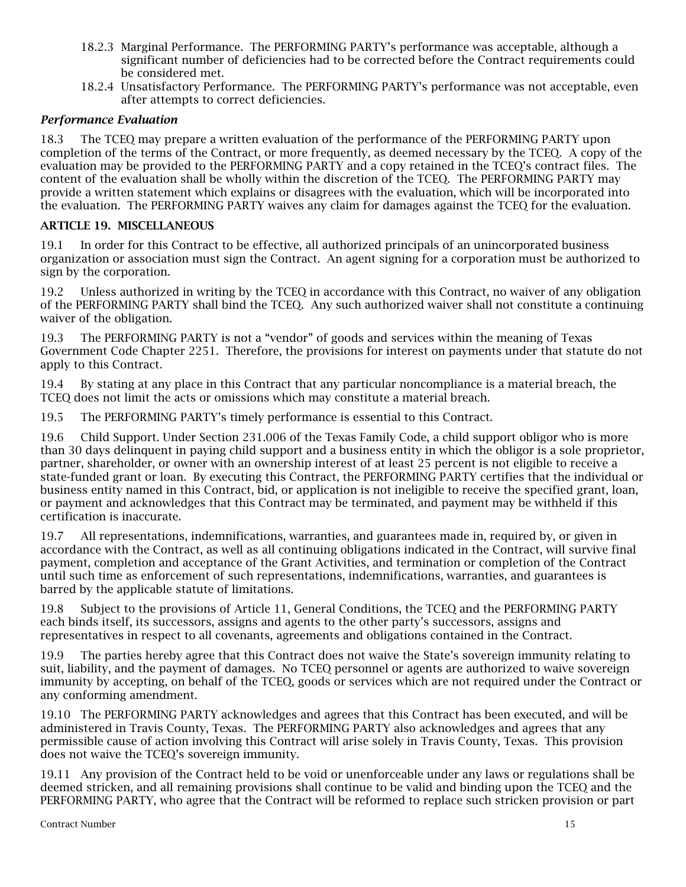- 18.2.3 Marginal Performance. The PERFORMING PARTY's performance was acceptable, although a significant number of deficiencies had to be corrected before the Contract requirements could be considered met.
- 18.2.4 Unsatisfactory Performance. The PERFORMING PARTY's performance was not acceptable, even after attempts to correct deficiencies.

## *Performance Evaluation*

18.3 The TCEQ may prepare a written evaluation of the performance of the PERFORMING PARTY upon completion of the terms of the Contract, or more frequently, as deemed necessary by the TCEQ. A copy of the evaluation may be provided to the PERFORMING PARTY and a copy retained in the TCEQ's contract files. The content of the evaluation shall be wholly within the discretion of the TCEQ. The PERFORMING PARTY may provide a written statement which explains or disagrees with the evaluation, which will be incorporated into the evaluation. The PERFORMING PARTY waives any claim for damages against the TCEQ for the evaluation.

#### ARTICLE 19. MISCELLANEOUS

19.1 In order for this Contract to be effective, all authorized principals of an unincorporated business organization or association must sign the Contract. An agent signing for a corporation must be authorized to sign by the corporation.

19.2 Unless authorized in writing by the TCEQ in accordance with this Contract, no waiver of any obligation of the PERFORMING PARTY shall bind the TCEQ. Any such authorized waiver shall not constitute a continuing waiver of the obligation.

19.3 The PERFORMING PARTY is not a "vendor" of goods and services within the meaning of Texas Government Code Chapter 2251. Therefore, the provisions for interest on payments under that statute do not apply to this Contract.

19.4 By stating at any place in this Contract that any particular noncompliance is a material breach, the TCEQ does not limit the acts or omissions which may constitute a material breach.

19.5 The PERFORMING PARTY's timely performance is essential to this Contract.

19.6 Child Support. Under Section 231.006 of the Texas Family Code, a child support obligor who is more than 30 days delinquent in paying child support and a business entity in which the obligor is a sole proprietor, partner, shareholder, or owner with an ownership interest of at least 25 percent is not eligible to receive a state-funded grant or loan. By executing this Contract, the PERFORMING PARTY certifies that the individual or business entity named in this Contract, bid, or application is not ineligible to receive the specified grant, loan, or payment and acknowledges that this Contract may be terminated, and payment may be withheld if this certification is inaccurate.

19.7 All representations, indemnifications, warranties, and guarantees made in, required by, or given in accordance with the Contract, as well as all continuing obligations indicated in the Contract, will survive final payment, completion and acceptance of the Grant Activities, and termination or completion of the Contract until such time as enforcement of such representations, indemnifications, warranties, and guarantees is barred by the applicable statute of limitations.

19.8 Subject to the provisions of Article 11, General Conditions, the TCEQ and the PERFORMING PARTY each binds itself, its successors, assigns and agents to the other party's successors, assigns and representatives in respect to all covenants, agreements and obligations contained in the Contract.

19.9 The parties hereby agree that this Contract does not waive the State's sovereign immunity relating to suit, liability, and the payment of damages. No TCEQ personnel or agents are authorized to waive sovereign immunity by accepting, on behalf of the TCEQ, goods or services which are not required under the Contract or any conforming amendment.

19.10 The PERFORMING PARTY acknowledges and agrees that this Contract has been executed, and will be administered in Travis County, Texas. The PERFORMING PARTY also acknowledges and agrees that any permissible cause of action involving this Contract will arise solely in Travis County, Texas. This provision does not waive the TCEQ's sovereign immunity.

19.11 Any provision of the Contract held to be void or unenforceable under any laws or regulations shall be deemed stricken, and all remaining provisions shall continue to be valid and binding upon the TCEQ and the PERFORMING PARTY, who agree that the Contract will be reformed to replace such stricken provision or part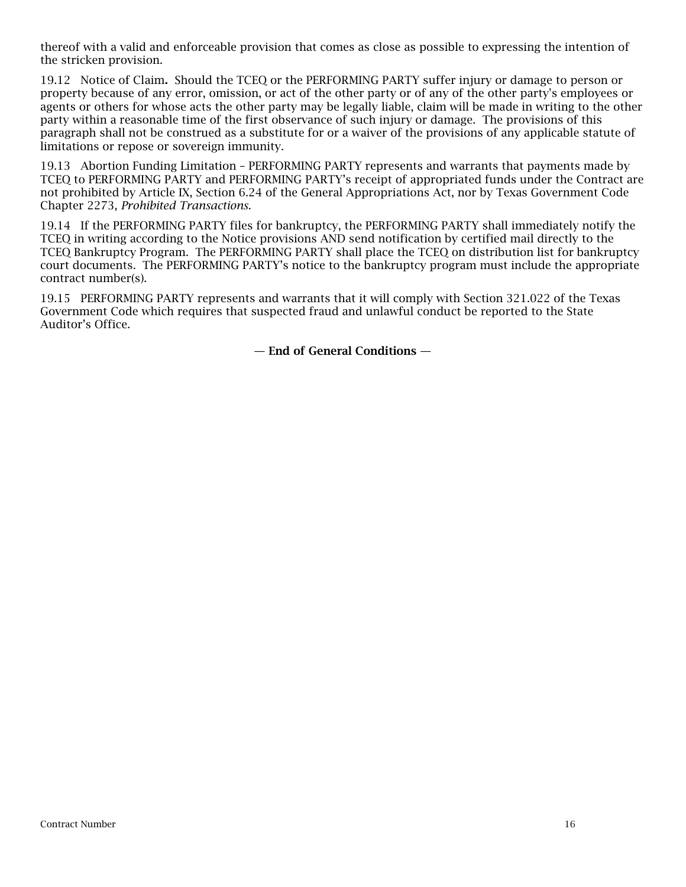thereof with a valid and enforceable provision that comes as close as possible to expressing the intention of the stricken provision.

19.12 Notice of Claim*.* Should the TCEQ or the PERFORMING PARTY suffer injury or damage to person or property because of any error, omission, or act of the other party or of any of the other party's employees or agents or others for whose acts the other party may be legally liable, claim will be made in writing to the other party within a reasonable time of the first observance of such injury or damage. The provisions of this paragraph shall not be construed as a substitute for or a waiver of the provisions of any applicable statute of limitations or repose or sovereign immunity.

19.13 Abortion Funding Limitation – PERFORMING PARTY represents and warrants that payments made by TCEQ to PERFORMING PARTY and PERFORMING PARTY's receipt of appropriated funds under the Contract are not prohibited by Article IX, Section 6.24 of the General Appropriations Act, nor by Texas Government Code Chapter 2273, *Prohibited Transactions.*

19.14 If the PERFORMING PARTY files for bankruptcy, the PERFORMING PARTY shall immediately notify the TCEQ in writing according to the Notice provisions AND send notification by certified mail directly to the TCEQ Bankruptcy Program. The PERFORMING PARTY shall place the TCEQ on distribution list for bankruptcy court documents. The PERFORMING PARTY's notice to the bankruptcy program must include the appropriate contract number(s).

19.15 PERFORMING PARTY represents and warrants that it will comply with Section 321.022 of the Texas Government Code which requires that suspected fraud and unlawful conduct be reported to the State Auditor's Office.

— End of General Conditions —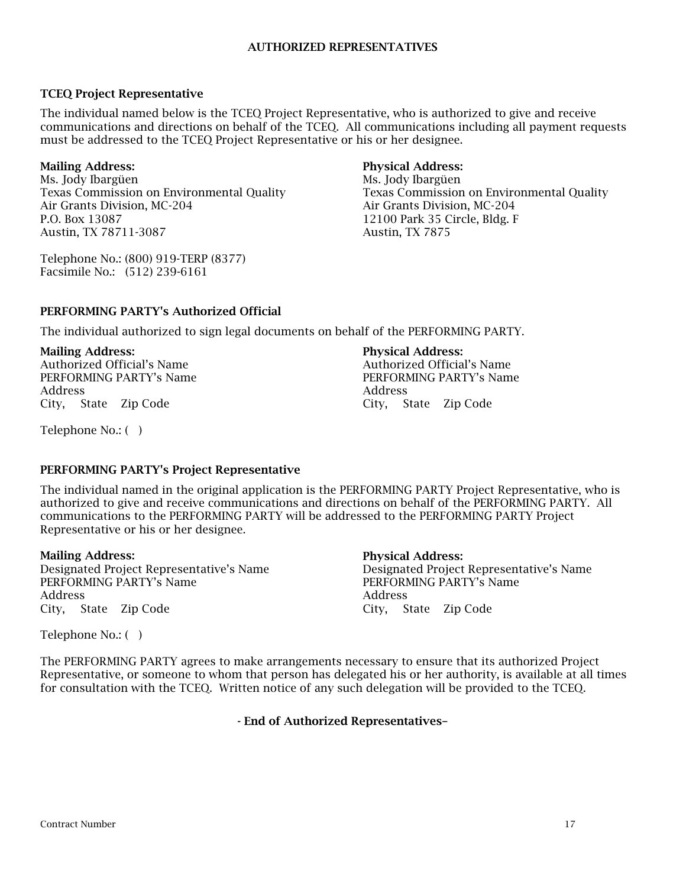## TCEQ Project Representative

The individual named below is the TCEQ Project Representative, who is authorized to give and receive communications and directions on behalf of the TCEQ. All communications including all payment requests must be addressed to the TCEQ Project Representative or his or her designee.

# Mailing Address:

Ms. Jody Ibargüen Texas Commission on Environmental Quality Air Grants Division, MC-204 P.O. Box 13087 Austin, TX 78711-3087

Telephone No.: (800) 919-TERP (8377) Facsimile No.: (512) 239-6161

# Physical Address:

Ms. Jody Ibargüen Texas Commission on Environmental Quality Air Grants Division, MC-204 12100 Park 35 Circle, Bldg. F Austin, TX 7875

## PERFORMING PARTY's Authorized Official

The individual authorized to sign legal documents on behalf of the PERFORMING PARTY.

## Mailing Address:

Authorized Official's Name PERFORMING PARTY's Name Address City, State Zip Code

# Physical Address:

Authorized Official's Name PERFORMING PARTY's Name Address City, State Zip Code

Telephone No.: ( )

## PERFORMING PARTY's Project Representative

The individual named in the original application is the PERFORMING PARTY Project Representative, who is authorized to give and receive communications and directions on behalf of the PERFORMING PARTY. All communications to the PERFORMING PARTY will be addressed to the PERFORMING PARTY Project Representative or his or her designee.

#### Mailing Address:

Designated Project Representative's Name PERFORMING PARTY's Name Address City, State Zip Code

#### Physical Address:

Designated Project Representative's Name PERFORMING PARTY's Name Address City, State Zip Code

Telephone No.: ( )

The PERFORMING PARTY agrees to make arrangements necessary to ensure that its authorized Project Representative, or someone to whom that person has delegated his or her authority, is available at all times for consultation with the TCEQ. Written notice of any such delegation will be provided to the TCEQ.

- End of Authorized Representatives–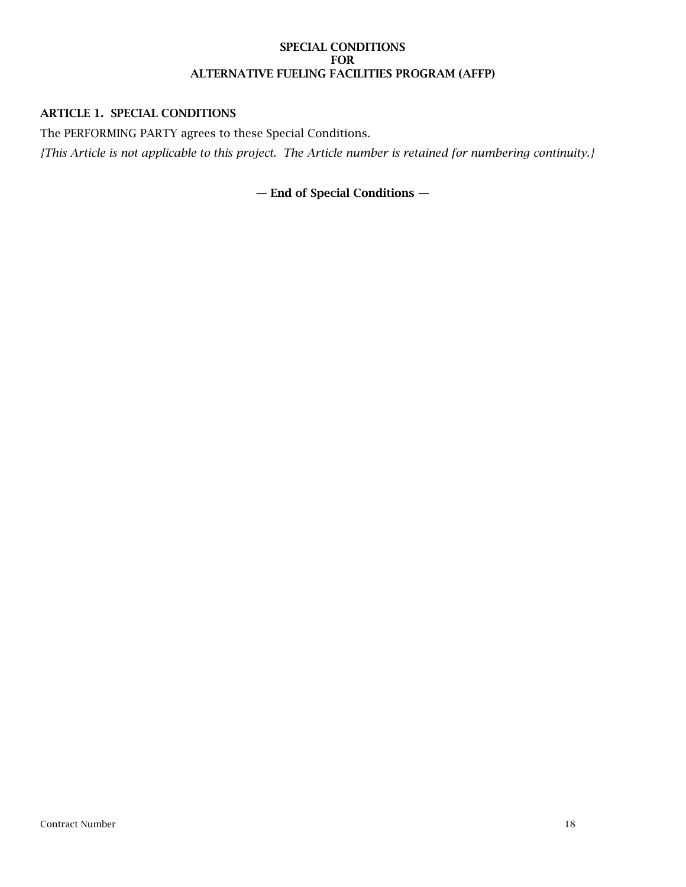#### SPECIAL CONDITIONS FOR ALTERNATIVE FUELING FACILITIES PROGRAM (AFFP)

## ARTICLE 1. SPECIAL CONDITIONS

The PERFORMING PARTY agrees to these Special Conditions.

*{This Article is not applicable to this project. The Article number is retained for numbering continuity.}*

— End of Special Conditions —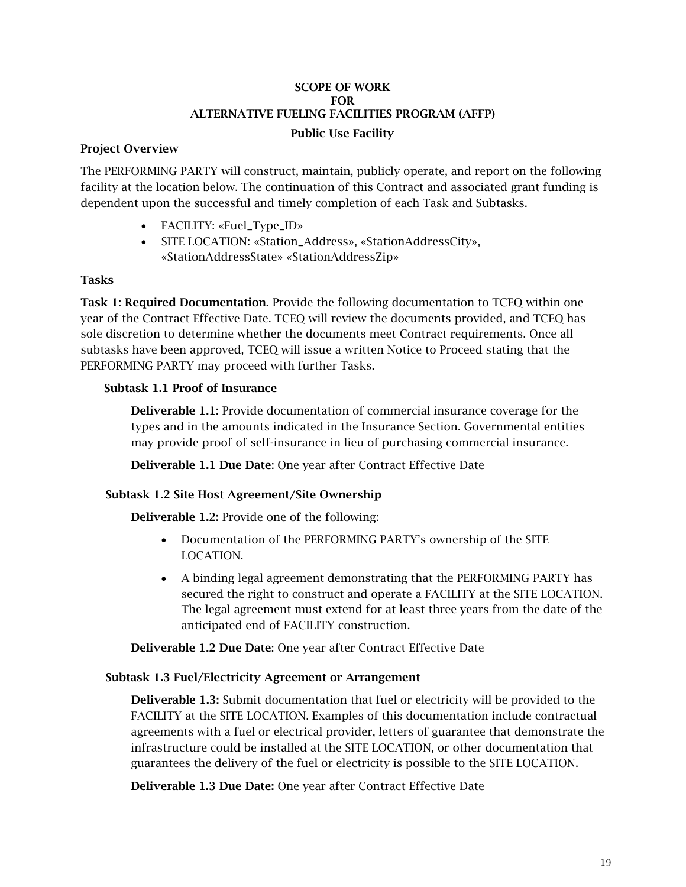### SCOPE OF WORK FOR ALTERNATIVE FUELING FACILITIES PROGRAM (AFFP)

# Public Use Facility

## Project Overview

The PERFORMING PARTY will construct, maintain, publicly operate, and report on the following facility at the location below. The continuation of this Contract and associated grant funding is dependent upon the successful and timely completion of each Task and Subtasks.

- FACILITY: «Fuel\_Type\_ID»
- SITE LOCATION: «Station\_Address», «StationAddressCity», «StationAddressState» «StationAddressZip»

## Tasks

Task 1: Required Documentation. Provide the following documentation to TCEQ within one year of the Contract Effective Date. TCEQ will review the documents provided, and TCEQ has sole discretion to determine whether the documents meet Contract requirements. Once all subtasks have been approved, TCEQ will issue a written Notice to Proceed stating that the PERFORMING PARTY may proceed with further Tasks.

## Subtask 1.1 Proof of Insurance

Deliverable 1.1: Provide documentation of commercial insurance coverage for the types and in the amounts indicated in the Insurance Section. Governmental entities may provide proof of self-insurance in lieu of purchasing commercial insurance.

Deliverable 1.1 Due Date: One year after Contract Effective Date

# Subtask 1.2 Site Host Agreement/Site Ownership

Deliverable 1.2: Provide one of the following:

- Documentation of the PERFORMING PARTY's ownership of the SITE LOCATION.
- A binding legal agreement demonstrating that the PERFORMING PARTY has secured the right to construct and operate a FACILITY at the SITE LOCATION. The legal agreement must extend for at least three years from the date of the anticipated end of FACILITY construction.

Deliverable 1.2 Due Date: One year after Contract Effective Date

## Subtask 1.3 Fuel/Electricity Agreement or Arrangement

Deliverable 1.3: Submit documentation that fuel or electricity will be provided to the FACILITY at the SITE LOCATION. Examples of this documentation include contractual agreements with a fuel or electrical provider, letters of guarantee that demonstrate the infrastructure could be installed at the SITE LOCATION, or other documentation that guarantees the delivery of the fuel or electricity is possible to the SITE LOCATION.

Deliverable 1.3 Due Date: One year after Contract Effective Date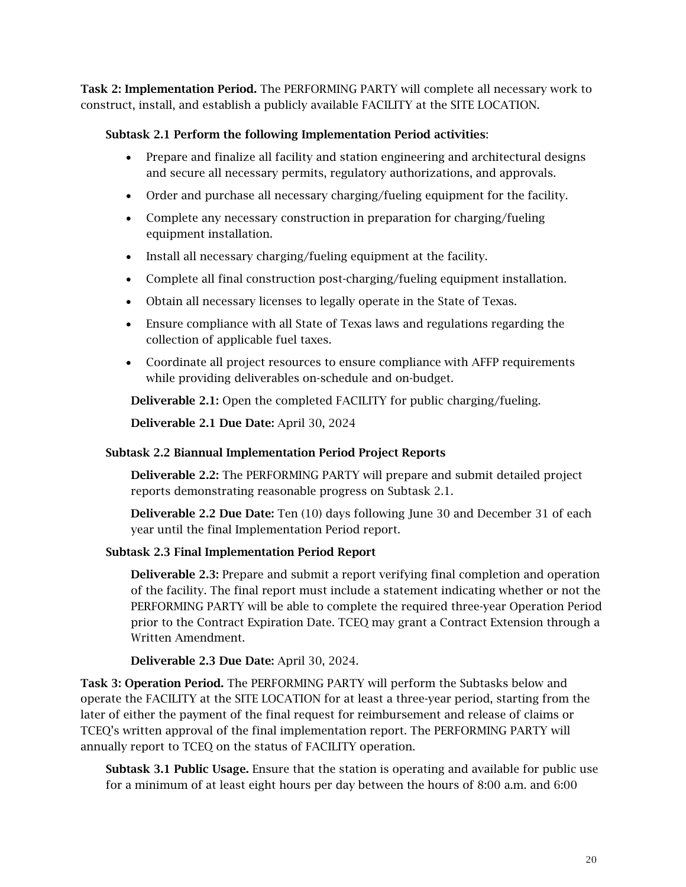Task 2: Implementation Period. The PERFORMING PARTY will complete all necessary work to construct, install, and establish a publicly available FACILITY at the SITE LOCATION.

## Subtask 2.1 Perform the following Implementation Period activities:

- Prepare and finalize all facility and station engineering and architectural designs and secure all necessary permits, regulatory authorizations, and approvals.
- Order and purchase all necessary charging/fueling equipment for the facility.
- Complete any necessary construction in preparation for charging/fueling equipment installation.
- Install all necessary charging/fueling equipment at the facility.
- Complete all final construction post-charging/fueling equipment installation.
- Obtain all necessary licenses to legally operate in the State of Texas.
- Ensure compliance with all State of Texas laws and regulations regarding the collection of applicable fuel taxes.
- Coordinate all project resources to ensure compliance with AFFP requirements while providing deliverables on-schedule and on-budget.

Deliverable 2.1: Open the completed FACILITY for public charging/fueling.

Deliverable 2.1 Due Date: April 30, 2024

## Subtask 2.2 Biannual Implementation Period Project Reports

Deliverable 2.2: The PERFORMING PARTY will prepare and submit detailed project reports demonstrating reasonable progress on Subtask 2.1.

Deliverable 2.2 Due Date: Ten (10) days following June 30 and December 31 of each year until the final Implementation Period report.

## Subtask 2.3 Final Implementation Period Report

Deliverable 2.3: Prepare and submit a report verifying final completion and operation of the facility. The final report must include a statement indicating whether or not the PERFORMING PARTY will be able to complete the required three-year Operation Period prior to the Contract Expiration Date. TCEQ may grant a Contract Extension through a Written Amendment.

# Deliverable 2.3 Due Date: April 30, 2024.

Task 3: Operation Period. The PERFORMING PARTY will perform the Subtasks below and operate the FACILITY at the SITE LOCATION for at least a three-year period, starting from the later of either the payment of the final request for reimbursement and release of claims or TCEQ's written approval of the final implementation report. The PERFORMING PARTY will annually report to TCEQ on the status of FACILITY operation.

Subtask 3.1 Public Usage. Ensure that the station is operating and available for public use for a minimum of at least eight hours per day between the hours of 8:00 a.m. and 6:00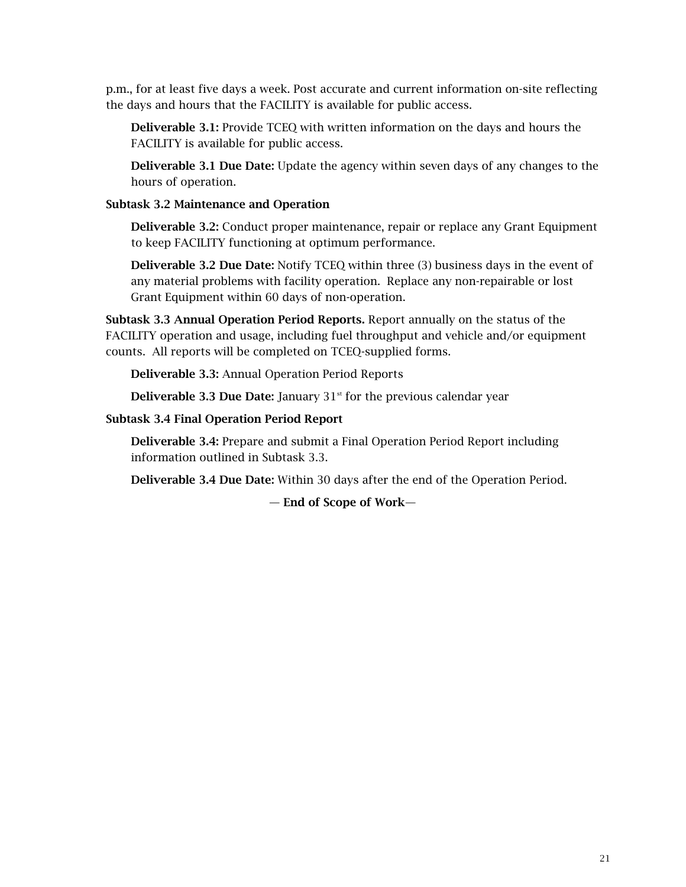p.m., for at least five days a week. Post accurate and current information on-site reflecting the days and hours that the FACILITY is available for public access.

Deliverable 3.1: Provide TCEQ with written information on the days and hours the FACILITY is available for public access.

Deliverable 3.1 Due Date: Update the agency within seven days of any changes to the hours of operation.

### Subtask 3.2 Maintenance and Operation

Deliverable 3.2: Conduct proper maintenance, repair or replace any Grant Equipment to keep FACILITY functioning at optimum performance.

Deliverable 3.2 Due Date: Notify TCEQ within three (3) business days in the event of any material problems with facility operation. Replace any non-repairable or lost Grant Equipment within 60 days of non-operation.

Subtask 3.3 Annual Operation Period Reports. Report annually on the status of the FACILITY operation and usage, including fuel throughput and vehicle and/or equipment counts. All reports will be completed on TCEQ-supplied forms.

Deliverable 3.3: Annual Operation Period Reports

**Deliverable 3.3 Due Date:** January  $31<sup>st</sup>$  for the previous calendar year

### Subtask 3.4 Final Operation Period Report

Deliverable 3.4: Prepare and submit a Final Operation Period Report including information outlined in Subtask 3.3.

Deliverable 3.4 Due Date: Within 30 days after the end of the Operation Period.

— End of Scope of Work—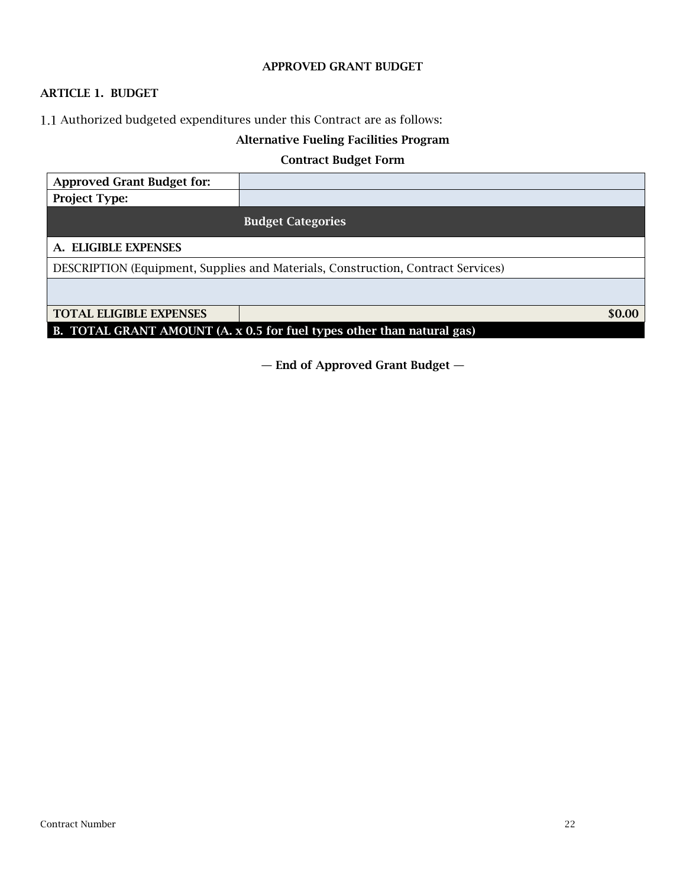#### APPROVED GRANT BUDGET

# ARTICLE 1. BUDGET

1.1 Authorized budgeted expenditures under this Contract are as follows:

# Alternative Fueling Facilities Program

## Contract Budget Form

| <b>Approved Grant Budget for:</b>                                                |                          |  |
|----------------------------------------------------------------------------------|--------------------------|--|
| <b>Project Type:</b>                                                             |                          |  |
|                                                                                  | <b>Budget Categories</b> |  |
| A. ELIGIBLE EXPENSES                                                             |                          |  |
| DESCRIPTION (Equipment, Supplies and Materials, Construction, Contract Services) |                          |  |
|                                                                                  |                          |  |
| <b>TOTAL ELIGIBLE EXPENSES</b>                                                   | \$0.00                   |  |
| B. TOTAL GRANT AMOUNT (A. x 0.5 for fuel types other than natural gas)           |                          |  |

— End of Approved Grant Budget —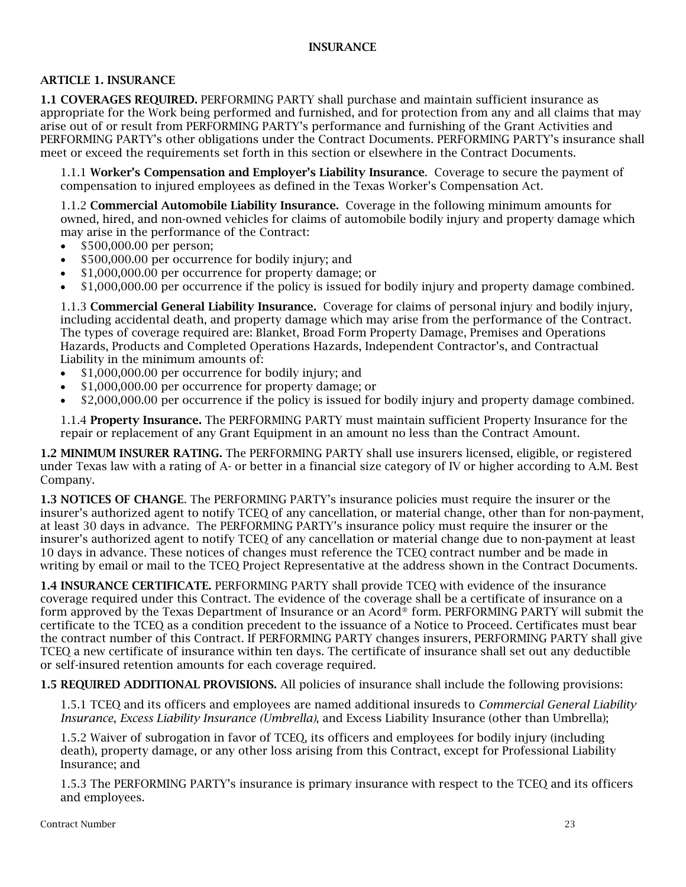### INSURANCE

### ARTICLE 1. INSURANCE

1.1 COVERAGES REQUIRED. PERFORMING PARTY shall purchase and maintain sufficient insurance as appropriate for the Work being performed and furnished, and for protection from any and all claims that may arise out of or result from PERFORMING PARTY's performance and furnishing of the Grant Activities and PERFORMING PARTY's other obligations under the Contract Documents. PERFORMING PARTY's insurance shall meet or exceed the requirements set forth in this section or elsewhere in the Contract Documents.

1.1.1 Worker's Compensation and Employer's Liability Insurance. Coverage to secure the payment of compensation to injured employees as defined in the Texas Worker's Compensation Act.

1.1.2 Commercial Automobile Liability Insurance. Coverage in the following minimum amounts for owned, hired, and non-owned vehicles for claims of automobile bodily injury and property damage which may arise in the performance of the Contract:

- \$500,000.00 per person;
- \$500,000.00 per occurrence for bodily injury; and
- \$1,000,000.00 per occurrence for property damage; or
- \$1,000,000.00 per occurrence if the policy is issued for bodily injury and property damage combined.

1.1.3 Commercial General Liability Insurance. Coverage for claims of personal injury and bodily injury, including accidental death, and property damage which may arise from the performance of the Contract. The types of coverage required are: Blanket, Broad Form Property Damage, Premises and Operations Hazards, Products and Completed Operations Hazards, Independent Contractor's, and Contractual Liability in the minimum amounts of:

- \$1,000,000.00 per occurrence for bodily injury; and
- \$1,000,000.00 per occurrence for property damage; or
- \$2,000,000.00 per occurrence if the policy is issued for bodily injury and property damage combined.

1.1.4 Property Insurance. The PERFORMING PARTY must maintain sufficient Property Insurance for the repair or replacement of any Grant Equipment in an amount no less than the Contract Amount.

1.2 MINIMUM INSURER RATING. The PERFORMING PARTY shall use insurers licensed, eligible, or registered under Texas law with a rating of A- or better in a financial size category of IV or higher according to A.M. Best Company.

1.3 NOTICES OF CHANGE. The PERFORMING PARTY's insurance policies must require the insurer or the insurer's authorized agent to notify TCEQ of any cancellation, or material change, other than for non-payment, at least 30 days in advance. The PERFORMING PARTY's insurance policy must require the insurer or the insurer's authorized agent to notify TCEQ of any cancellation or material change due to non-payment at least 10 days in advance. These notices of changes must reference the TCEQ contract number and be made in writing by email or mail to the TCEQ Project Representative at the address shown in the Contract Documents.

1.4 INSURANCE CERTIFICATE. PERFORMING PARTY shall provide TCEQ with evidence of the insurance coverage required under this Contract. The evidence of the coverage shall be a certificate of insurance on a form approved by the Texas Department of Insurance or an Acord® form. PERFORMING PARTY will submit the certificate to the TCEQ as a condition precedent to the issuance of a Notice to Proceed. Certificates must bear the contract number of this Contract. If PERFORMING PARTY changes insurers, PERFORMING PARTY shall give TCEQ a new certificate of insurance within ten days. The certificate of insurance shall set out any deductible or self-insured retention amounts for each coverage required.

1.5 REQUIRED ADDITIONAL PROVISIONS. All policies of insurance shall include the following provisions:

1.5.1 TCEQ and its officers and employees are named additional insureds to *Commercial General Liability Insurance*, *Excess Liability Insurance (Umbrella)*, and Excess Liability Insurance (other than Umbrella);

1.5.2 Waiver of subrogation in favor of TCEQ, its officers and employees for bodily injury (including death), property damage, or any other loss arising from this Contract, except for Professional Liability Insurance; and

1.5.3 The PERFORMING PARTY's insurance is primary insurance with respect to the TCEQ and its officers and employees.